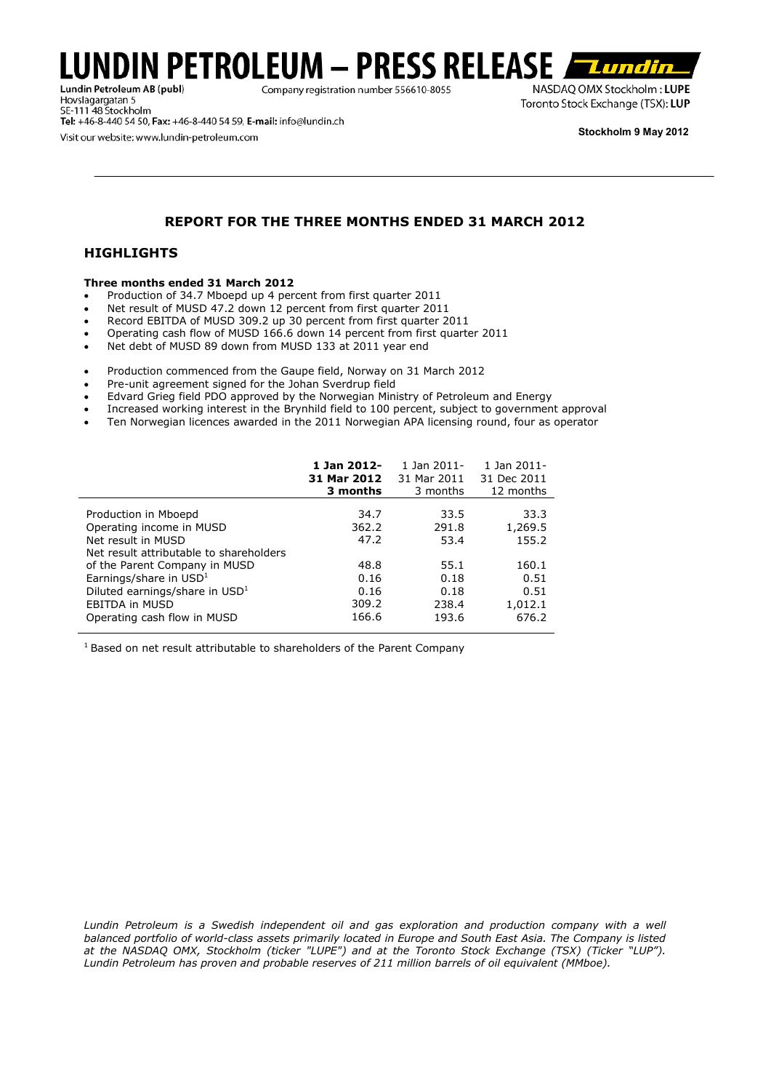# LUNDIN PETROLEUM - PRESS RELEASE

Company registration number 556610-8055

Lundin Petroleum AB (publ) Hovslagargatan 5<br>SE-111 48 Stockholm Tel: +46-8-440 54 50, Fax: +46-8-440 54 59, E-mail: info@lundin.ch Visit our website: www.lundin-petroleum.com

NASDAQ OMX Stockholm: LUPE Toronto Stock Exchange (TSX): LUP

**Stockholm 9 May 2012**

Lundin

# **REPORT FOR THE THREE MONTHS ENDED 31 MARCH 2012**

### **HIGHLIGHTS**

#### **Three months ended 31 March 2012**

- Production of 34.7 Mboepd up 4 percent from first quarter 2011
- Net result of MUSD 47.2 down 12 percent from first quarter 2011
- Record EBITDA of MUSD 309.2 up 30 percent from first quarter 2011
- Operating cash flow of MUSD 166.6 down 14 percent from first quarter 2011
- Net debt of MUSD 89 down from MUSD 133 at 2011 year end
- Production commenced from the Gaupe field, Norway on 31 March 2012
- Pre-unit agreement signed for the Johan Sverdrup field
- Edvard Grieg field PDO approved by the Norwegian Ministry of Petroleum and Energy
- Increased working interest in the Brynhild field to 100 percent, subject to government approval
- Ten Norwegian licences awarded in the 2011 Norwegian APA licensing round, four as operator

|                                                                                                                                                                                                                                                                                    | 1 Jan 2012-                                                     | 1 Jan 2011-                                                     | 1 Jan 2011-                                                           |
|------------------------------------------------------------------------------------------------------------------------------------------------------------------------------------------------------------------------------------------------------------------------------------|-----------------------------------------------------------------|-----------------------------------------------------------------|-----------------------------------------------------------------------|
|                                                                                                                                                                                                                                                                                    | 31 Mar 2012                                                     | 31 Mar 2011                                                     | 31 Dec 2011                                                           |
|                                                                                                                                                                                                                                                                                    | 3 months                                                        | 3 months                                                        | 12 months                                                             |
| Production in Mboepd<br>Operating income in MUSD<br>Net result in MUSD<br>Net result attributable to shareholders<br>of the Parent Company in MUSD<br>Earnings/share in $USD1$<br>Diluted earnings/share in $\text{USD}^1$<br><b>EBITDA in MUSD</b><br>Operating cash flow in MUSD | 34.7<br>362.2<br>47.2<br>48.8<br>0.16<br>0.16<br>309.2<br>166.6 | 33.5<br>291.8<br>53.4<br>55.1<br>0.18<br>0.18<br>238.4<br>193.6 | 33.3<br>1,269.5<br>155.2<br>160.1<br>0.51<br>0.51<br>1,012.1<br>676.2 |

 $1$  Based on net result attributable to shareholders of the Parent Company

Lundin Petroleum is a Swedish independent oil and gas exploration and production company with a well *balanced portfolio of world-class assets primarily located in Europe and South East Asia. The Company is listed at the NASDAQ OMX, Stockholm (ticker "LUPE") and at the Toronto Stock Exchange (TSX) (Ticker "LUP"). Lundin Petroleum has proven and probable reserves of 211 million barrels of oil equivalent (MMboe).*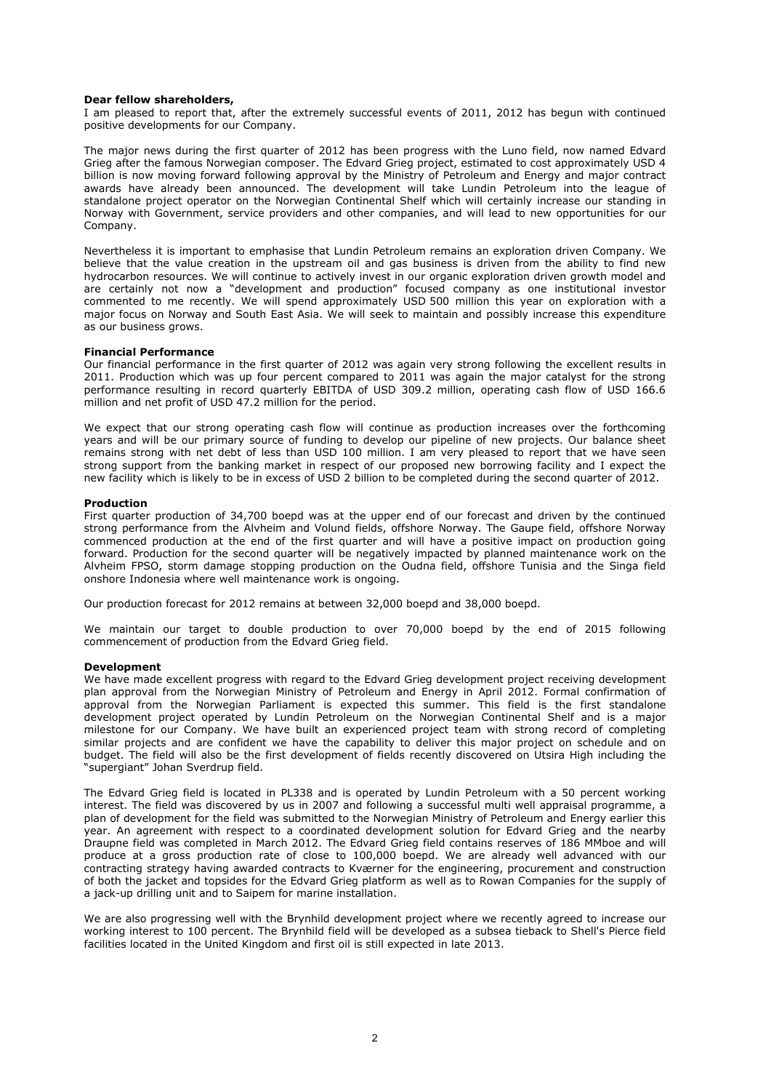#### **Dear fellow shareholders,**

I am pleased to report that, after the extremely successful events of 2011, 2012 has begun with continued positive developments for our Company.

The major news during the first quarter of 2012 has been progress with the Luno field, now named Edvard Grieg after the famous Norwegian composer. The Edvard Grieg project, estimated to cost approximately USD 4 billion is now moving forward following approval by the Ministry of Petroleum and Energy and major contract awards have already been announced. The development will take Lundin Petroleum into the league of standalone project operator on the Norwegian Continental Shelf which will certainly increase our standing in Norway with Government, service providers and other companies, and will lead to new opportunities for our Company.

Nevertheless it is important to emphasise that Lundin Petroleum remains an exploration driven Company. We believe that the value creation in the upstream oil and gas business is driven from the ability to find new hydrocarbon resources. We will continue to actively invest in our organic exploration driven growth model and are certainly not now a "development and production" focused company as one institutional investor commented to me recently. We will spend approximately USD 500 million this year on exploration with a major focus on Norway and South East Asia. We will seek to maintain and possibly increase this expenditure as our business grows.

#### **Financial Performance**

Our financial performance in the first quarter of 2012 was again very strong following the excellent results in 2011. Production which was up four percent compared to 2011 was again the major catalyst for the strong performance resulting in record quarterly EBITDA of USD 309.2 million, operating cash flow of USD 166.6 million and net profit of USD 47.2 million for the period.

We expect that our strong operating cash flow will continue as production increases over the forthcoming years and will be our primary source of funding to develop our pipeline of new projects. Our balance sheet remains strong with net debt of less than USD 100 million. I am very pleased to report that we have seen strong support from the banking market in respect of our proposed new borrowing facility and I expect the new facility which is likely to be in excess of USD 2 billion to be completed during the second quarter of 2012.

#### **Production**

First quarter production of 34,700 boepd was at the upper end of our forecast and driven by the continued strong performance from the Alvheim and Volund fields, offshore Norway. The Gaupe field, offshore Norway commenced production at the end of the first quarter and will have a positive impact on production going forward. Production for the second quarter will be negatively impacted by planned maintenance work on the Alvheim FPSO, storm damage stopping production on the Oudna field, offshore Tunisia and the Singa field onshore Indonesia where well maintenance work is ongoing.

Our production forecast for 2012 remains at between 32,000 boepd and 38,000 boepd.

We maintain our target to double production to over 70,000 boepd by the end of 2015 following commencement of production from the Edvard Grieg field.

#### **Development**

We have made excellent progress with regard to the Edvard Grieg development project receiving development plan approval from the Norwegian Ministry of Petroleum and Energy in April 2012. Formal confirmation of approval from the Norwegian Parliament is expected this summer. This field is the first standalone development project operated by Lundin Petroleum on the Norwegian Continental Shelf and is a major milestone for our Company. We have built an experienced project team with strong record of completing similar projects and are confident we have the capability to deliver this major project on schedule and on budget. The field will also be the first development of fields recently discovered on Utsira High including the "supergiant" Johan Sverdrup field.

The Edvard Grieg field is located in PL338 and is operated by Lundin Petroleum with a 50 percent working interest. The field was discovered by us in 2007 and following a successful multi well appraisal programme, a plan of development for the field was submitted to the Norwegian Ministry of Petroleum and Energy earlier this year. An agreement with respect to a coordinated development solution for Edvard Grieg and the nearby Draupne field was completed in March 2012. The Edvard Grieg field contains reserves of 186 MMboe and will produce at a gross production rate of close to 100,000 boepd. We are already well advanced with our contracting strategy having awarded contracts to Kværner for the engineering, procurement and construction of both the jacket and topsides for the Edvard Grieg platform as well as to Rowan Companies for the supply of a jack-up drilling unit and to Saipem for marine installation.

We are also progressing well with the Brynhild development project where we recently agreed to increase our working interest to 100 percent. The Brynhild field will be developed as a subsea tieback to Shell's Pierce field facilities located in the United Kingdom and first oil is still expected in late 2013.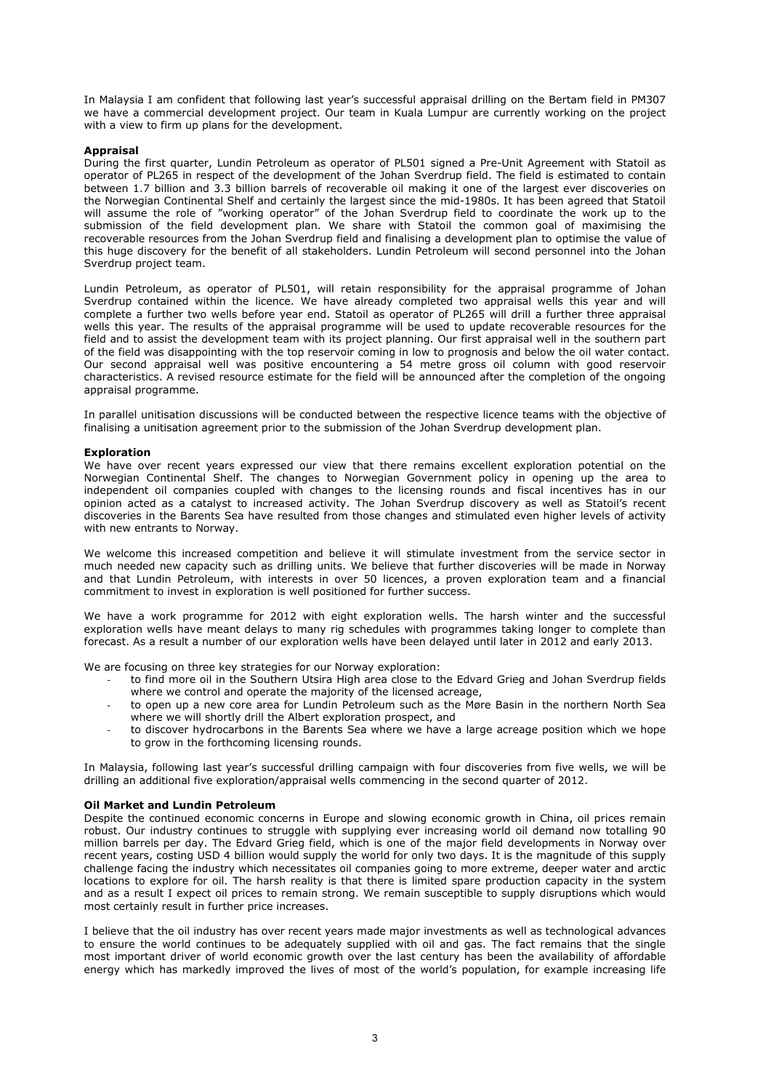In Malaysia I am confident that following last year's successful appraisal drilling on the Bertam field in PM307 we have a commercial development project. Our team in Kuala Lumpur are currently working on the project with a view to firm up plans for the development.

#### **Appraisal**

During the first quarter, Lundin Petroleum as operator of PL501 signed a Pre-Unit Agreement with Statoil as operator of PL265 in respect of the development of the Johan Sverdrup field. The field is estimated to contain between 1.7 billion and 3.3 billion barrels of recoverable oil making it one of the largest ever discoveries on the Norwegian Continental Shelf and certainly the largest since the mid-1980s. It has been agreed that Statoil will assume the role of "working operator" of the Johan Sverdrup field to coordinate the work up to the submission of the field development plan. We share with Statoil the common goal of maximising the recoverable resources from the Johan Sverdrup field and finalising a development plan to optimise the value of this huge discovery for the benefit of all stakeholders. Lundin Petroleum will second personnel into the Johan Sverdrup project team.

Lundin Petroleum, as operator of PL501, will retain responsibility for the appraisal programme of Johan Sverdrup contained within the licence. We have already completed two appraisal wells this year and will complete a further two wells before year end. Statoil as operator of PL265 will drill a further three appraisal wells this year. The results of the appraisal programme will be used to update recoverable resources for the field and to assist the development team with its project planning. Our first appraisal well in the southern part of the field was disappointing with the top reservoir coming in low to prognosis and below the oil water contact. Our second appraisal well was positive encountering a 54 metre gross oil column with good reservoir characteristics. A revised resource estimate for the field will be announced after the completion of the ongoing appraisal programme.

In parallel unitisation discussions will be conducted between the respective licence teams with the objective of finalising a unitisation agreement prior to the submission of the Johan Sverdrup development plan.

#### **Exploration**

We have over recent years expressed our view that there remains excellent exploration potential on the Norwegian Continental Shelf. The changes to Norwegian Government policy in opening up the area to independent oil companies coupled with changes to the licensing rounds and fiscal incentives has in our opinion acted as a catalyst to increased activity. The Johan Sverdrup discovery as well as Statoil's recent discoveries in the Barents Sea have resulted from those changes and stimulated even higher levels of activity with new entrants to Norway.

We welcome this increased competition and believe it will stimulate investment from the service sector in much needed new capacity such as drilling units. We believe that further discoveries will be made in Norway and that Lundin Petroleum, with interests in over 50 licences, a proven exploration team and a financial commitment to invest in exploration is well positioned for further success.

We have a work programme for 2012 with eight exploration wells. The harsh winter and the successful exploration wells have meant delays to many rig schedules with programmes taking longer to complete than forecast. As a result a number of our exploration wells have been delayed until later in 2012 and early 2013.

We are focusing on three key strategies for our Norway exploration:

- to find more oil in the Southern Utsira High area close to the Edvard Grieg and Johan Sverdrup fields where we control and operate the majority of the licensed acreage.
- to open up a new core area for Lundin Petroleum such as the Møre Basin in the northern North Sea where we will shortly drill the Albert exploration prospect, and
- to discover hydrocarbons in the Barents Sea where we have a large acreage position which we hope to grow in the forthcoming licensing rounds.

In Malaysia, following last year's successful drilling campaign with four discoveries from five wells, we will be drilling an additional five exploration/appraisal wells commencing in the second quarter of 2012.

#### **Oil Market and Lundin Petroleum**

Despite the continued economic concerns in Europe and slowing economic growth in China, oil prices remain robust. Our industry continues to struggle with supplying ever increasing world oil demand now totalling 90 million barrels per day. The Edvard Grieg field, which is one of the major field developments in Norway over recent years, costing USD 4 billion would supply the world for only two days. It is the magnitude of this supply challenge facing the industry which necessitates oil companies going to more extreme, deeper water and arctic locations to explore for oil. The harsh reality is that there is limited spare production capacity in the system and as a result I expect oil prices to remain strong. We remain susceptible to supply disruptions which would most certainly result in further price increases.

I believe that the oil industry has over recent years made major investments as well as technological advances to ensure the world continues to be adequately supplied with oil and gas. The fact remains that the single most important driver of world economic growth over the last century has been the availability of affordable energy which has markedly improved the lives of most of the world's population, for example increasing life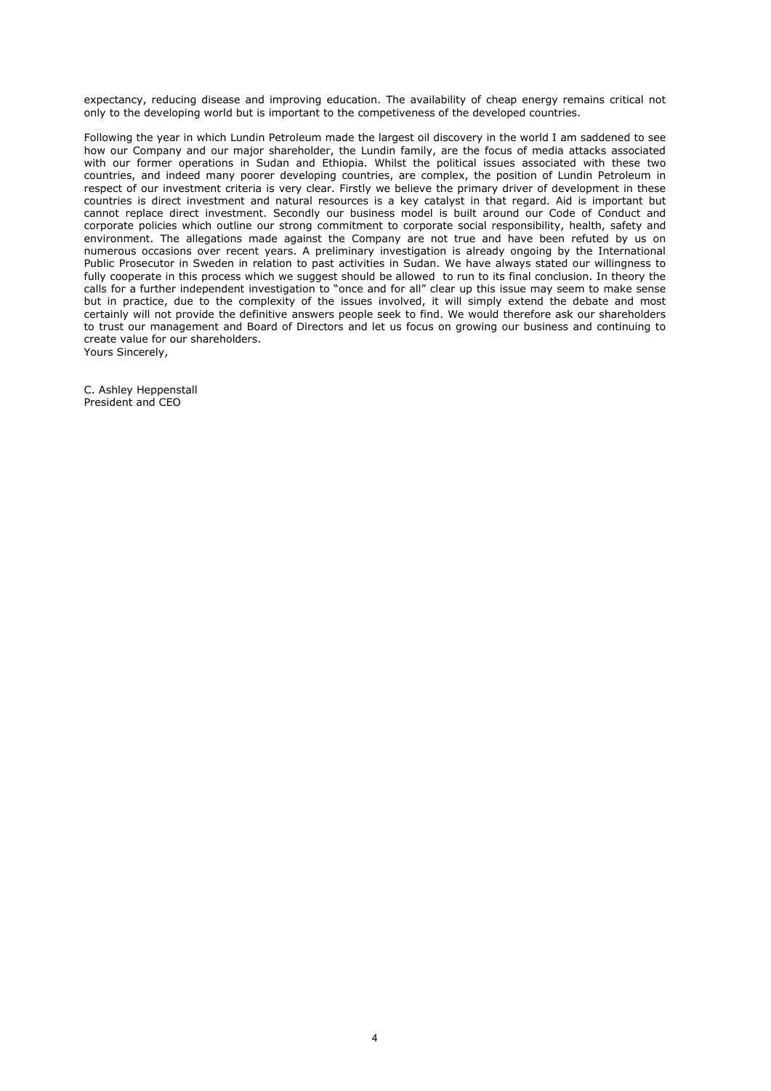expectancy, reducing disease and improving education. The availability of cheap energy remains critical not only to the developing world but is important to the competiveness of the developed countries.

Following the year in which Lundin Petroleum made the largest oil discovery in the world I am saddened to see how our Company and our major shareholder, the Lundin family, are the focus of media attacks associated with our former operations in Sudan and Ethiopia. Whilst the political issues associated with these two countries, and indeed many poorer developing countries, are complex, the position of Lundin Petroleum in respect of our investment criteria is very clear. Firstly we believe the primary driver of development in these countries is direct investment and natural resources is a key catalyst in that regard. Aid is important but cannot replace direct investment. Secondly our business model is built around our Code of Conduct and corporate policies which outline our strong commitment to corporate social responsibility, health, safety and environment. The allegations made against the Company are not true and have been refuted by us on numerous occasions over recent years. A preliminary investigation is already ongoing by the International Public Prosecutor in Sweden in relation to past activities in Sudan. We have always stated our willingness to fully cooperate in this process which we suggest should be allowed to run to its final conclusion. In theory the calls for a further independent investigation to "once and for all" clear up this issue may seem to make sense but in practice, due to the complexity of the issues involved, it will simply extend the debate and most certainly will not provide the definitive answers people seek to find. We would therefore ask our shareholders to trust our management and Board of Directors and let us focus on growing our business and continuing to create value for our shareholders. Yours Sincerely,

C. Ashley Heppenstall President and CEO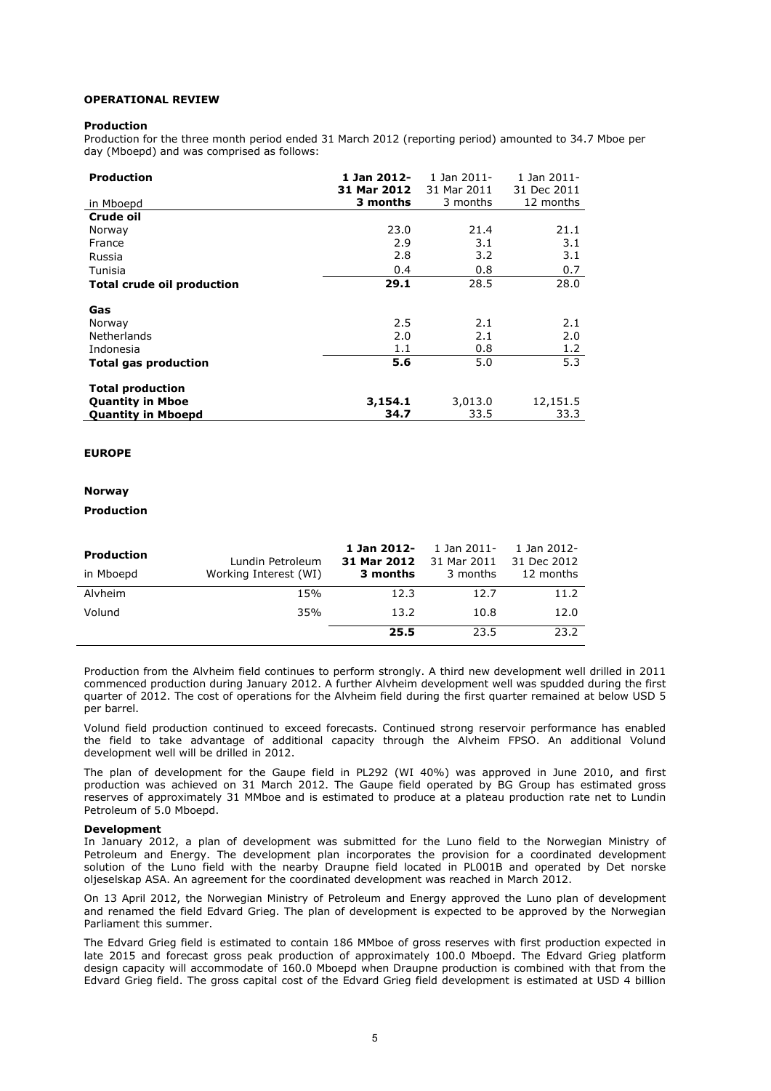#### **OPERATIONAL REVIEW**

#### **Production**

Production for the three month period ended 31 March 2012 (reporting period) amounted to 34.7 Mboe per day (Mboepd) and was comprised as follows:

| <b>Production</b><br>in Mboepd    | 1 Jan 2012-<br>31 Mar 2012<br>3 months | 1 Jan 2011-<br>31 Mar 2011<br>3 months | 1 Jan 2011-<br>31 Dec 2011<br>12 months |
|-----------------------------------|----------------------------------------|----------------------------------------|-----------------------------------------|
| Crude oil                         |                                        |                                        |                                         |
| Norway                            | 23.0                                   | 21.4                                   | 21.1                                    |
| France                            | 2.9                                    | 3.1                                    | 3.1                                     |
| Russia                            | 2.8                                    | 3.2                                    | 3.1                                     |
| Tunisia                           | 0.4                                    | 0.8                                    | 0.7                                     |
| <b>Total crude oil production</b> | 29.1                                   | 28.5                                   | 28.0                                    |
| Gas                               |                                        |                                        |                                         |
| Norway                            | 2.5                                    | 2.1                                    | 2.1                                     |
| Netherlands                       | 2.0                                    | 2.1                                    | 2.0                                     |
| Indonesia                         | 1.1                                    | 0.8                                    | 1.2                                     |
| <b>Total gas production</b>       | 5.6                                    | 5.0                                    | 5.3                                     |
| <b>Total production</b>           |                                        |                                        |                                         |
| <b>Quantity in Mboe</b>           | 3,154.1                                | 3,013.0                                | 12,151.5                                |
| <b>Quantity in Mboepd</b>         | 34.7                                   | 33.5                                   | 33.3                                    |

#### **EUROPE**

#### **Norway**

#### **Production**

| <b>Production</b><br>in Mboepd | Lundin Petroleum<br>Working Interest (WI) | 1 Jan 2012-<br>31 Mar 2012<br>3 months | 1 Jan 2011-<br>31 Mar 2011<br>3 months | 1 Jan 2012-<br>31 Dec 2012<br>12 months |
|--------------------------------|-------------------------------------------|----------------------------------------|----------------------------------------|-----------------------------------------|
| Alvheim                        | 15%                                       | 12.3                                   | 12.7                                   | 11.2                                    |
| Volund                         | 35%                                       | 13.2                                   | 10.8                                   | 12.0                                    |
|                                |                                           | 25.5                                   | 23.5                                   | 23.2                                    |

Production from the Alvheim field continues to perform strongly. A third new development well drilled in 2011 commenced production during January 2012. A further Alvheim development well was spudded during the first quarter of 2012. The cost of operations for the Alvheim field during the first quarter remained at below USD 5 per barrel.

Volund field production continued to exceed forecasts. Continued strong reservoir performance has enabled the field to take advantage of additional capacity through the Alvheim FPSO. An additional Volund development well will be drilled in 2012.

The plan of development for the Gaupe field in PL292 (WI 40%) was approved in June 2010, and first production was achieved on 31 March 2012. The Gaupe field operated by BG Group has estimated gross reserves of approximately 31 MMboe and is estimated to produce at a plateau production rate net to Lundin Petroleum of 5.0 Mboepd.

#### **Development**

In January 2012, a plan of development was submitted for the Luno field to the Norwegian Ministry of Petroleum and Energy. The development plan incorporates the provision for a coordinated development solution of the Luno field with the nearby Draupne field located in PL001B and operated by Det norske oljeselskap ASA. An agreement for the coordinated development was reached in March 2012.

On 13 April 2012, the Norwegian Ministry of Petroleum and Energy approved the Luno plan of development and renamed the field Edvard Grieg. The plan of development is expected to be approved by the Norwegian Parliament this summer.

The Edvard Grieg field is estimated to contain 186 MMboe of gross reserves with first production expected in late 2015 and forecast gross peak production of approximately 100.0 Mboepd. The Edvard Grieg platform design capacity will accommodate of 160.0 Mboepd when Draupne production is combined with that from the Edvard Grieg field. The gross capital cost of the Edvard Grieg field development is estimated at USD 4 billion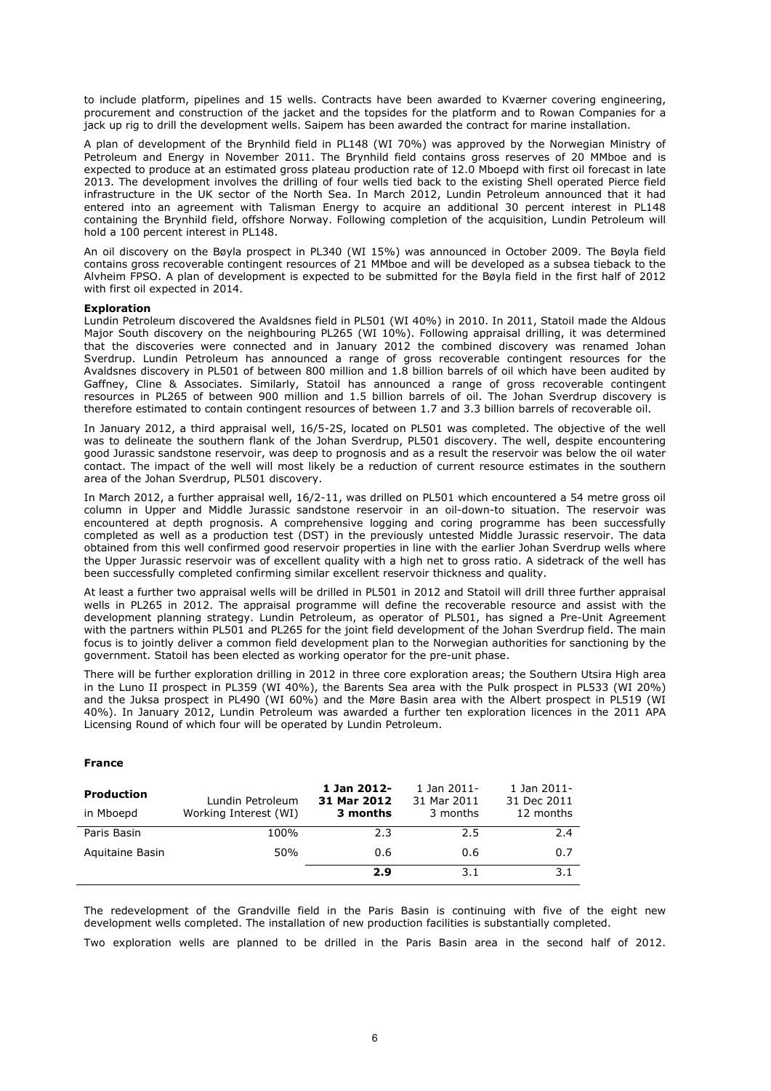to include platform, pipelines and 15 wells. Contracts have been awarded to Kværner covering engineering, procurement and construction of the jacket and the topsides for the platform and to Rowan Companies for a jack up rig to drill the development wells. Saipem has been awarded the contract for marine installation.

A plan of development of the Brynhild field in PL148 (WI 70%) was approved by the Norwegian Ministry of Petroleum and Energy in November 2011. The Brynhild field contains gross reserves of 20 MMboe and is expected to produce at an estimated gross plateau production rate of 12.0 Mboepd with first oil forecast in late 2013. The development involves the drilling of four wells tied back to the existing Shell operated Pierce field infrastructure in the UK sector of the North Sea. In March 2012, Lundin Petroleum announced that it had entered into an agreement with Talisman Energy to acquire an additional 30 percent interest in PL148 containing the Brynhild field, offshore Norway. Following completion of the acquisition, Lundin Petroleum will hold a 100 percent interest in PL148.

An oil discovery on the Bøyla prospect in PL340 (WI 15%) was announced in October 2009. The Bøyla field contains gross recoverable contingent resources of 21 MMboe and will be developed as a subsea tieback to the Alvheim FPSO. A plan of development is expected to be submitted for the Bøyla field in the first half of 2012 with first oil expected in 2014.

#### **Exploration**

Lundin Petroleum discovered the Avaldsnes field in PL501 (WI 40%) in 2010. In 2011, Statoil made the Aldous Major South discovery on the neighbouring PL265 (WI 10%). Following appraisal drilling, it was determined that the discoveries were connected and in January 2012 the combined discovery was renamed Johan Sverdrup. Lundin Petroleum has announced a range of gross recoverable contingent resources for the Avaldsnes discovery in PL501 of between 800 million and 1.8 billion barrels of oil which have been audited by Gaffney, Cline & Associates. Similarly, Statoil has announced a range of gross recoverable contingent resources in PL265 of between 900 million and 1.5 billion barrels of oil. The Johan Sverdrup discovery is therefore estimated to contain contingent resources of between 1.7 and 3.3 billion barrels of recoverable oil.

In January 2012, a third appraisal well, 16/5-2S, located on PL501 was completed. The objective of the well was to delineate the southern flank of the Johan Sverdrup, PL501 discovery. The well, despite encountering good Jurassic sandstone reservoir, was deep to prognosis and as a result the reservoir was below the oil water contact. The impact of the well will most likely be a reduction of current resource estimates in the southern area of the Johan Sverdrup, PL501 discovery.

In March 2012, a further appraisal well, 16/2-11, was drilled on PL501 which encountered a 54 metre gross oil column in Upper and Middle Jurassic sandstone reservoir in an oil-down-to situation. The reservoir was encountered at depth prognosis. A comprehensive logging and coring programme has been successfully completed as well as a production test (DST) in the previously untested Middle Jurassic reservoir. The data obtained from this well confirmed good reservoir properties in line with the earlier Johan Sverdrup wells where the Upper Jurassic reservoir was of excellent quality with a high net to gross ratio. A sidetrack of the well has been successfully completed confirming similar excellent reservoir thickness and quality.

At least a further two appraisal wells will be drilled in PL501 in 2012 and Statoil will drill three further appraisal wells in PL265 in 2012. The appraisal programme will define the recoverable resource and assist with the development planning strategy. Lundin Petroleum, as operator of PL501, has signed a Pre-Unit Agreement with the partners within PL501 and PL265 for the joint field development of the Johan Sverdrup field. The main focus is to jointly deliver a common field development plan to the Norwegian authorities for sanctioning by the government. Statoil has been elected as working operator for the pre-unit phase.

There will be further exploration drilling in 2012 in three core exploration areas; the Southern Utsira High area in the Luno II prospect in PL359 (WI 40%), the Barents Sea area with the Pulk prospect in PL533 (WI 20%) and the Juksa prospect in PL490 (WI 60%) and the Møre Basin area with the Albert prospect in PL519 (WI 40%). In January 2012, Lundin Petroleum was awarded a further ten exploration licences in the 2011 APA Licensing Round of which four will be operated by Lundin Petroleum.

#### **France**

| <b>Production</b><br>in Mboepd | Lundin Petroleum<br>Working Interest (WI) | 1 Jan 2012-<br>31 Mar 2012<br>3 months | 1 Jan 2011-<br>31 Mar 2011<br>3 months | 1 Jan 2011-<br>31 Dec 2011<br>12 months |
|--------------------------------|-------------------------------------------|----------------------------------------|----------------------------------------|-----------------------------------------|
| Paris Basin                    | 100%                                      | 2.3                                    | 2.5                                    | 2.4                                     |
| Aquitaine Basin                | 50%                                       | 0.6                                    | 0.6                                    | 0.7                                     |
|                                |                                           | 2.9                                    | 3.1                                    | 3.1                                     |

The redevelopment of the Grandville field in the Paris Basin is continuing with five of the eight new development wells completed. The installation of new production facilities is substantially completed.

Two exploration wells are planned to be drilled in the Paris Basin area in the second half of 2012.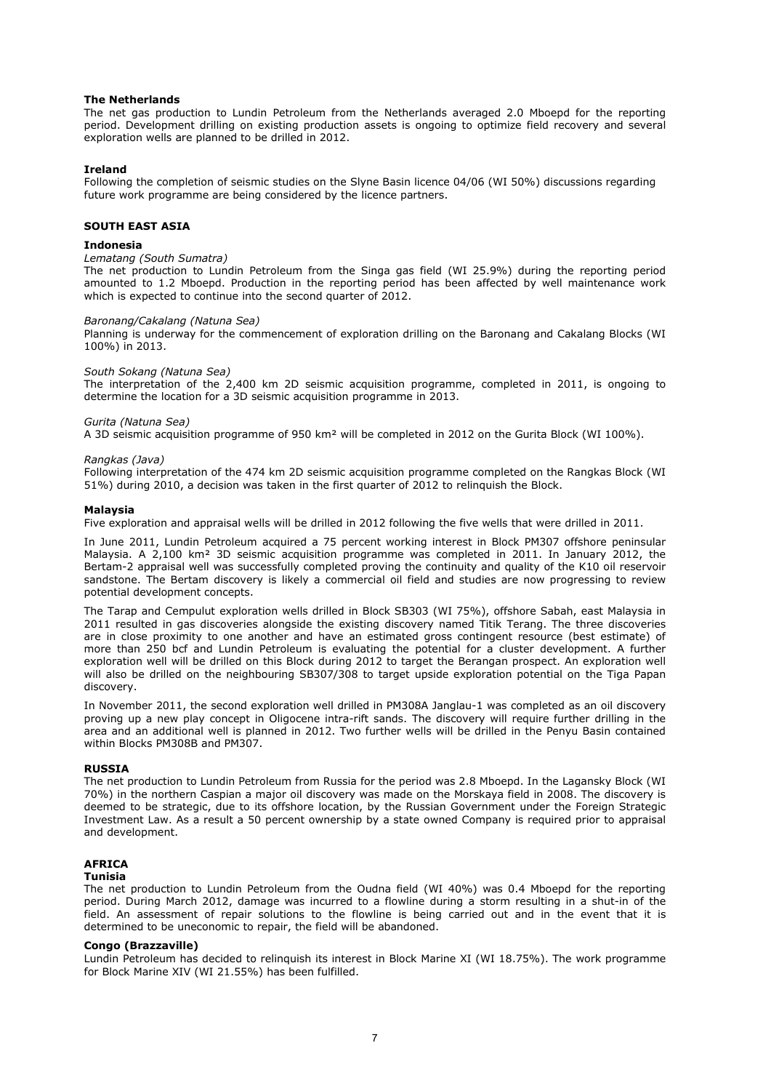#### **The Netherlands**

The net gas production to Lundin Petroleum from the Netherlands averaged 2.0 Mboepd for the reporting period. Development drilling on existing production assets is ongoing to optimize field recovery and several exploration wells are planned to be drilled in 2012.

#### **Ireland**

Following the completion of seismic studies on the Slyne Basin licence 04/06 (WI 50%) discussions regarding future work programme are being considered by the licence partners.

#### **SOUTH EAST ASIA**

#### **Indonesia**

#### *Lematang (South Sumatra)*

The net production to Lundin Petroleum from the Singa gas field (WI 25.9%) during the reporting period amounted to 1.2 Mboepd. Production in the reporting period has been affected by well maintenance work which is expected to continue into the second quarter of 2012.

#### *Baronang/Cakalang (Natuna Sea)*

Planning is underway for the commencement of exploration drilling on the Baronang and Cakalang Blocks (WI 100%) in 2013.

#### *South Sokang (Natuna Sea)*

The interpretation of the 2,400 km 2D seismic acquisition programme, completed in 2011, is ongoing to determine the location for a 3D seismic acquisition programme in 2013.

#### *Gurita (Natuna Sea)*

A 3D seismic acquisition programme of 950 km² will be completed in 2012 on the Gurita Block (WI 100%).

#### *Rangkas (Java)*

Following interpretation of the 474 km 2D seismic acquisition programme completed on the Rangkas Block (WI 51%) during 2010, a decision was taken in the first quarter of 2012 to relinquish the Block.

#### **Malaysia**

Five exploration and appraisal wells will be drilled in 2012 following the five wells that were drilled in 2011.

In June 2011, Lundin Petroleum acquired a 75 percent working interest in Block PM307 offshore peninsular Malaysia. A 2,100 km² 3D seismic acquisition programme was completed in 2011. In January 2012, the Bertam-2 appraisal well was successfully completed proving the continuity and quality of the K10 oil reservoir sandstone. The Bertam discovery is likely a commercial oil field and studies are now progressing to review potential development concepts.

The Tarap and Cempulut exploration wells drilled in Block SB303 (WI 75%), offshore Sabah, east Malaysia in 2011 resulted in gas discoveries alongside the existing discovery named Titik Terang. The three discoveries are in close proximity to one another and have an estimated gross contingent resource (best estimate) of more than 250 bcf and Lundin Petroleum is evaluating the potential for a cluster development. A further exploration well will be drilled on this Block during 2012 to target the Berangan prospect. An exploration well will also be drilled on the neighbouring SB307/308 to target upside exploration potential on the Tiga Papan discovery.

In November 2011, the second exploration well drilled in PM308A Janglau-1 was completed as an oil discovery proving up a new play concept in Oligocene intra-rift sands. The discovery will require further drilling in the area and an additional well is planned in 2012. Two further wells will be drilled in the Penyu Basin contained within Blocks PM308B and PM307.

#### **RUSSIA**

The net production to Lundin Petroleum from Russia for the period was 2.8 Mboepd. In the Lagansky Block (WI 70%) in the northern Caspian a major oil discovery was made on the Morskaya field in 2008. The discovery is deemed to be strategic, due to its offshore location, by the Russian Government under the Foreign Strategic Investment Law. As a result a 50 percent ownership by a state owned Company is required prior to appraisal and development.

#### **AFRICA Tunisia**

The net production to Lundin Petroleum from the Oudna field (WI 40%) was 0.4 Mboepd for the reporting period. During March 2012, damage was incurred to a flowline during a storm resulting in a shut-in of the field. An assessment of repair solutions to the flowline is being carried out and in the event that it is determined to be uneconomic to repair, the field will be abandoned.

#### **Congo (Brazzaville)**

Lundin Petroleum has decided to relinquish its interest in Block Marine XI (WI 18.75%). The work programme for Block Marine XIV (WI 21.55%) has been fulfilled.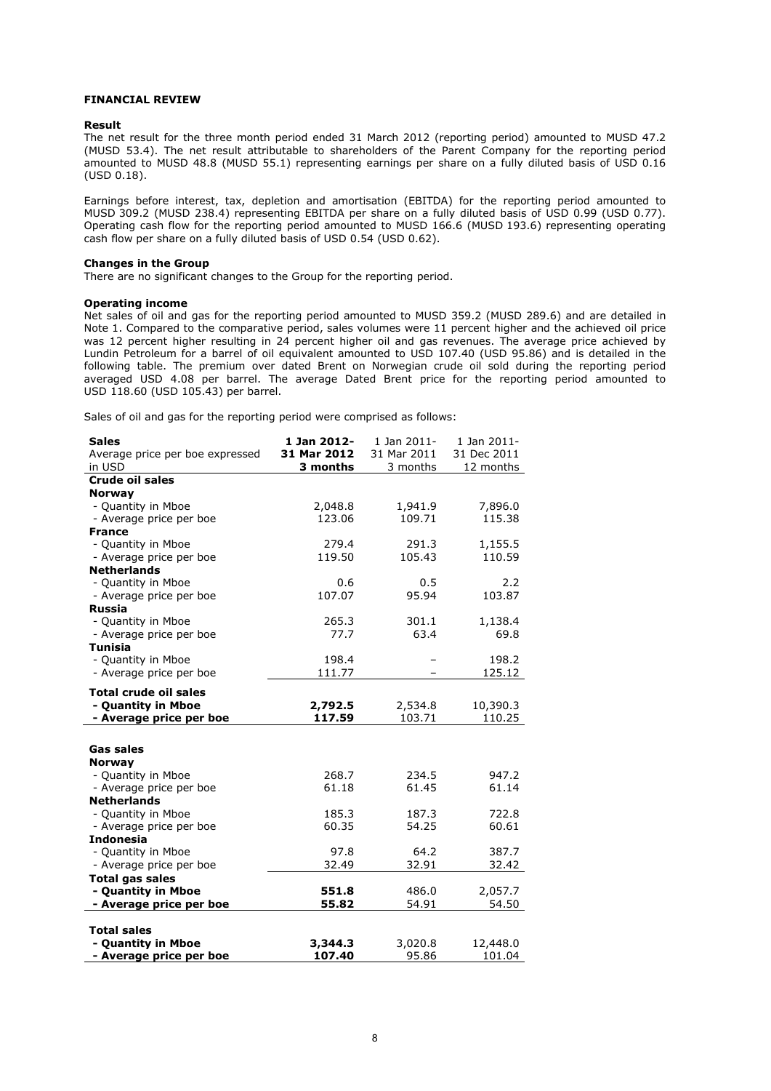#### **FINANCIAL REVIEW**

#### **Result**

The net result for the three month period ended 31 March 2012 (reporting period) amounted to MUSD 47.2 (MUSD 53.4). The net result attributable to shareholders of the Parent Company for the reporting period amounted to MUSD 48.8 (MUSD 55.1) representing earnings per share on a fully diluted basis of USD 0.16 (USD 0.18).

Earnings before interest, tax, depletion and amortisation (EBITDA) for the reporting period amounted to MUSD 309.2 (MUSD 238.4) representing EBITDA per share on a fully diluted basis of USD 0.99 (USD 0.77). Operating cash flow for the reporting period amounted to MUSD 166.6 (MUSD 193.6) representing operating cash flow per share on a fully diluted basis of USD 0.54 (USD 0.62).

#### **Changes in the Group**

There are no significant changes to the Group for the reporting period.

#### **Operating income**

Net sales of oil and gas for the reporting period amounted to MUSD 359.2 (MUSD 289.6) and are detailed in Note 1. Compared to the comparative period, sales volumes were 11 percent higher and the achieved oil price was 12 percent higher resulting in 24 percent higher oil and gas revenues. The average price achieved by Lundin Petroleum for a barrel of oil equivalent amounted to USD 107.40 (USD 95.86) and is detailed in the following table. The premium over dated Brent on Norwegian crude oil sold during the reporting period averaged USD 4.08 per barrel. The average Dated Brent price for the reporting period amounted to USD 118.60 (USD 105.43) per barrel.

Sales of oil and gas for the reporting period were comprised as follows:

| <b>Sales</b>                    | 1 Jan 2012- | 1 Jan 2011- | 1 Jan 2011- |
|---------------------------------|-------------|-------------|-------------|
| Average price per boe expressed | 31 Mar 2012 | 31 Mar 2011 | 31 Dec 2011 |
| in USD                          | 3 months    | 3 months    | 12 months   |
| <b>Crude oil sales</b>          |             |             |             |
| <b>Norway</b>                   |             |             |             |
| - Quantity in Mboe              | 2,048.8     | 1,941.9     | 7,896.0     |
| - Average price per boe         | 123.06      | 109.71      | 115.38      |
| <b>France</b>                   |             |             |             |
| - Quantity in Mboe              | 279.4       | 291.3       | 1,155.5     |
| - Average price per boe         | 119.50      | 105.43      | 110.59      |
| <b>Netherlands</b>              |             |             |             |
| - Quantity in Mboe              | 0.6         | 0.5         | 2.2         |
| - Average price per boe         | 107.07      | 95.94       | 103.87      |
| <b>Russia</b>                   |             |             |             |
| - Quantity in Mboe              | 265.3       | 301.1       | 1,138.4     |
| - Average price per boe         | 77.7        | 63.4        | 69.8        |
| <b>Tunisia</b>                  |             |             |             |
| - Quantity in Mboe              | 198.4       |             | 198.2       |
| - Average price per boe         | 111.77      |             | 125.12      |
| <b>Total crude oil sales</b>    |             |             |             |
| - Quantity in Mboe              | 2,792.5     | 2,534.8     | 10,390.3    |
| - Average price per boe         | 117.59      | 103.71      | 110.25      |
|                                 |             |             |             |
| <b>Gas sales</b>                |             |             |             |
| <b>Norway</b>                   |             |             |             |
| - Quantity in Mboe              | 268.7       | 234.5       | 947.2       |
| - Average price per boe         | 61.18       | 61.45       | 61.14       |
| <b>Netherlands</b>              |             |             |             |
| - Quantity in Mboe              | 185.3       | 187.3       | 722.8       |
| - Average price per boe         | 60.35       | 54.25       | 60.61       |
| <b>Indonesia</b>                |             |             |             |
| - Quantity in Mboe              | 97.8        | 64.2        | 387.7       |
| - Average price per boe         | 32.49       | 32.91       | 32.42       |
| <b>Total gas sales</b>          |             |             |             |
| - Quantity in Mboe              | 551.8       | 486.0       | 2,057.7     |
| - Average price per boe         | 55.82       | 54.91       | 54.50       |
|                                 |             |             |             |
| <b>Total sales</b>              |             |             |             |
| - Quantity in Mboe              | 3,344.3     | 3,020.8     | 12,448.0    |
| - Average price per boe         | 107.40      | 95.86       | 101.04      |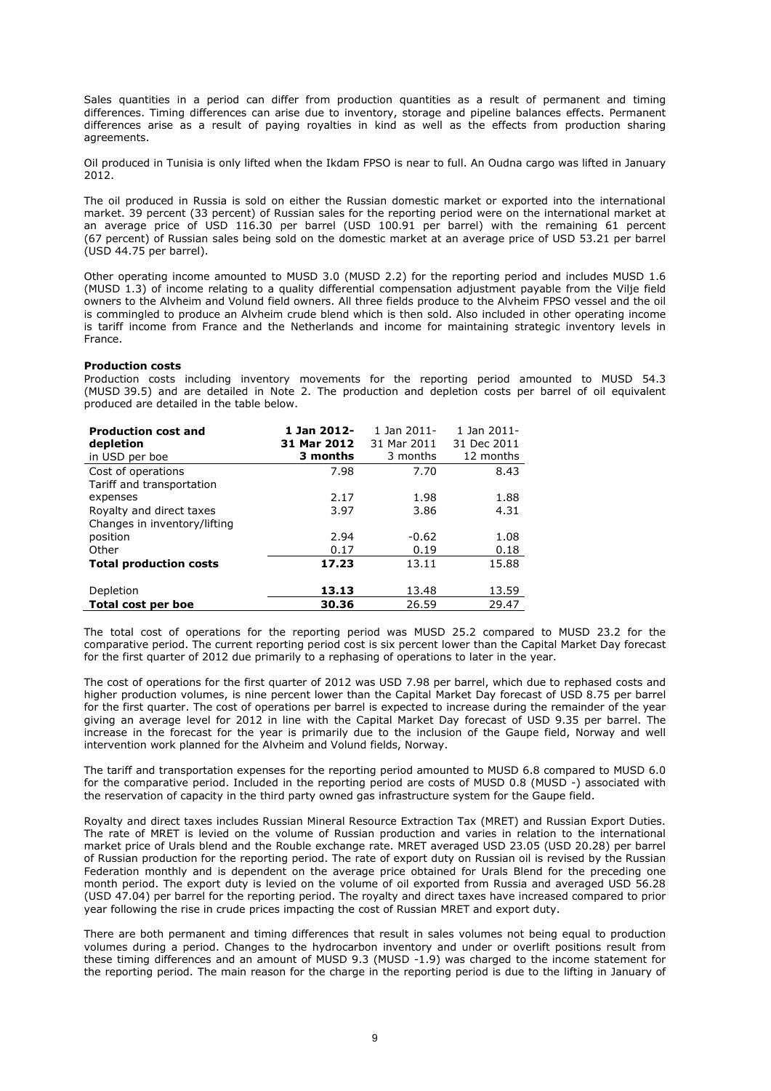Sales quantities in a period can differ from production quantities as a result of permanent and timing differences. Timing differences can arise due to inventory, storage and pipeline balances effects. Permanent differences arise as a result of paying royalties in kind as well as the effects from production sharing agreements.

Oil produced in Tunisia is only lifted when the Ikdam FPSO is near to full. An Oudna cargo was lifted in January 2012.

The oil produced in Russia is sold on either the Russian domestic market or exported into the international market. 39 percent (33 percent) of Russian sales for the reporting period were on the international market at an average price of USD 116.30 per barrel (USD 100.91 per barrel) with the remaining 61 percent (67 percent) of Russian sales being sold on the domestic market at an average price of USD 53.21 per barrel  $(USD 44.75$  per barrel).

Other operating income amounted to MUSD 3.0 (MUSD 2.2) for the reporting period and includes MUSD 1.6 (MUSD 1.3) of income relating to a quality differential compensation adjustment payable from the Vilje field owners to the Alvheim and Volund field owners. All three fields produce to the Alvheim FPSO vessel and the oil is commingled to produce an Alvheim crude blend which is then sold. Also included in other operating income is tariff income from France and the Netherlands and income for maintaining strategic inventory levels in France.

#### **Production costs**

Production costs including inventory movements for the reporting period amounted to MUSD 54.3 (MUSD 39.5) and are detailed in Note 2. The production and depletion costs per barrel of oil equivalent produced are detailed in the table below.

| <b>Production cost and</b><br>depletion | 1 Jan 2012-<br>31 Mar 2012 | 1 Jan 2011-<br>31 Mar 2011 | 1 Jan 2011-<br>31 Dec 2011 |
|-----------------------------------------|----------------------------|----------------------------|----------------------------|
| in USD per boe                          | 3 months                   | 3 months                   | 12 months                  |
| Cost of operations                      | 7.98                       | 7.70                       | 8.43                       |
| Tariff and transportation               |                            |                            |                            |
| expenses                                | 2.17                       | 1.98                       | 1.88                       |
| Royalty and direct taxes                | 3.97                       | 3.86                       | 4.31                       |
| Changes in inventory/lifting            |                            |                            |                            |
| position                                | 2.94                       | $-0.62$                    | 1.08                       |
| Other                                   | 0.17                       | 0.19                       | 0.18                       |
| <b>Total production costs</b>           | 17.23                      | 13.11                      | 15.88                      |
|                                         |                            |                            |                            |
| Depletion                               | 13.13                      | 13.48                      | 13.59                      |
| Total cost per boe                      | 30.36                      | 26.59                      | 29.47                      |

The total cost of operations for the reporting period was MUSD 25.2 compared to MUSD 23.2 for the comparative period. The current reporting period cost is six percent lower than the Capital Market Day forecast for the first quarter of 2012 due primarily to a rephasing of operations to later in the year.

The cost of operations for the first quarter of 2012 was USD 7.98 per barrel, which due to rephased costs and higher production volumes, is nine percent lower than the Capital Market Day forecast of USD 8.75 per barrel for the first quarter. The cost of operations per barrel is expected to increase during the remainder of the year giving an average level for 2012 in line with the Capital Market Day forecast of USD 9.35 per barrel. The increase in the forecast for the year is primarily due to the inclusion of the Gaupe field, Norway and well intervention work planned for the Alvheim and Volund fields, Norway.

The tariff and transportation expenses for the reporting period amounted to MUSD 6.8 compared to MUSD 6.0 for the comparative period. Included in the reporting period are costs of MUSD 0.8 (MUSD -) associated with the reservation of capacity in the third party owned gas infrastructure system for the Gaupe field.

Royalty and direct taxes includes Russian Mineral Resource Extraction Tax (MRET) and Russian Export Duties. The rate of MRET is levied on the volume of Russian production and varies in relation to the international market price of Urals blend and the Rouble exchange rate. MRET averaged USD 23.05 (USD 20.28) per barrel of Russian production for the reporting period. The rate of export duty on Russian oil is revised by the Russian Federation monthly and is dependent on the average price obtained for Urals Blend for the preceding one month period. The export duty is levied on the volume of oil exported from Russia and averaged USD 56.28 (USD 47.04) per barrel for the reporting period. The royalty and direct taxes have increased compared to prior year following the rise in crude prices impacting the cost of Russian MRET and export duty.

There are both permanent and timing differences that result in sales volumes not being equal to production volumes during a period. Changes to the hydrocarbon inventory and under or overlift positions result from these timing differences and an amount of MUSD 9.3 (MUSD -1.9) was charged to the income statement for the reporting period. The main reason for the charge in the reporting period is due to the lifting in January of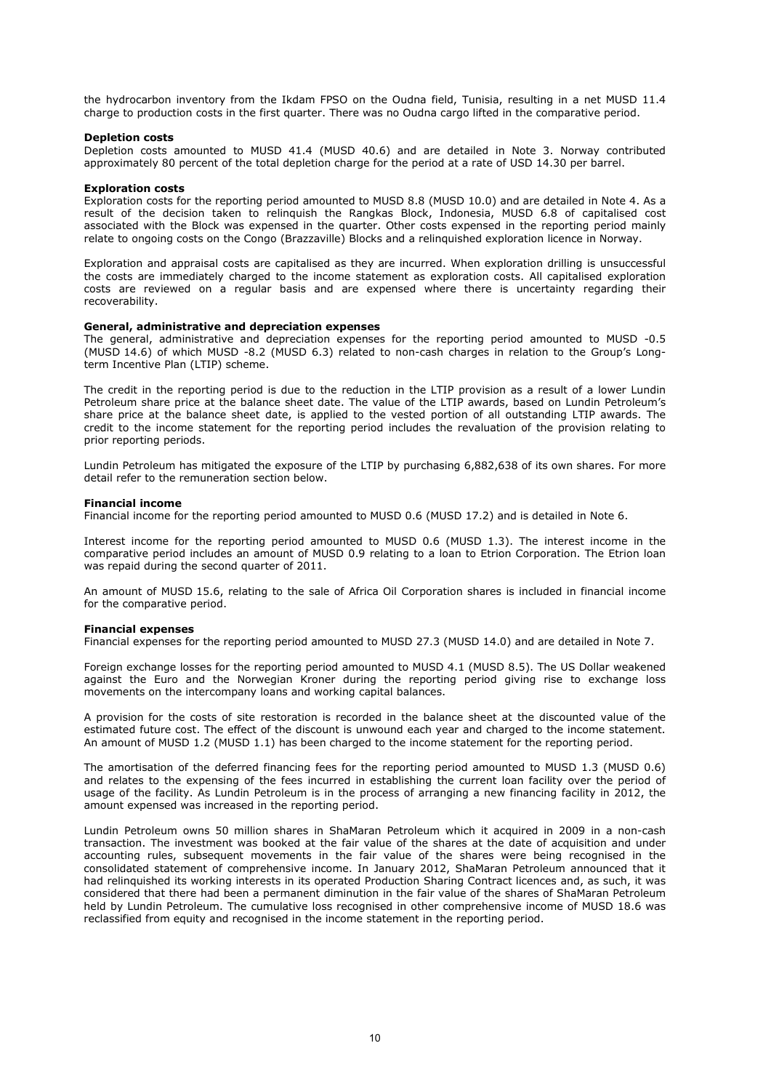the hydrocarbon inventory from the Ikdam FPSO on the Oudna field, Tunisia, resulting in a net MUSD 11.4 charge to production costs in the first quarter. There was no Oudna cargo lifted in the comparative period.

#### **Depletion costs**

Depletion costs amounted to MUSD 41.4 (MUSD 40.6) and are detailed in Note 3. Norway contributed approximately 80 percent of the total depletion charge for the period at a rate of USD 14.30 per barrel.

#### **Exploration costs**

Exploration costs for the reporting period amounted to MUSD 8.8 (MUSD 10.0) and are detailed in Note 4. As a result of the decision taken to relinquish the Rangkas Block, Indonesia, MUSD 6.8 of capitalised cost associated with the Block was expensed in the quarter. Other costs expensed in the reporting period mainly relate to ongoing costs on the Congo (Brazzaville) Blocks and a relinquished exploration licence in Norway.

Exploration and appraisal costs are capitalised as they are incurred. When exploration drilling is unsuccessful the costs are immediately charged to the income statement as exploration costs. All capitalised exploration costs are reviewed on a regular basis and are expensed where there is uncertainty regarding their recoverability.

#### **General, administrative and depreciation expenses**

The general, administrative and depreciation expenses for the reporting period amounted to MUSD -0.5 (MUSD 14.6) of which MUSD -8.2 (MUSD 6.3) related to non-cash charges in relation to the Group's Longterm Incentive Plan (LTIP) scheme.

The credit in the reporting period is due to the reduction in the LTIP provision as a result of a lower Lundin Petroleum share price at the balance sheet date. The value of the LTIP awards, based on Lundin Petroleum's share price at the balance sheet date, is applied to the vested portion of all outstanding LTIP awards. The credit to the income statement for the reporting period includes the revaluation of the provision relating to prior reporting periods.

Lundin Petroleum has mitigated the exposure of the LTIP by purchasing 6,882,638 of its own shares. For more detail refer to the remuneration section below.

#### **Financial income**

Financial income for the reporting period amounted to MUSD 0.6 (MUSD 17.2) and is detailed in Note 6.

Interest income for the reporting period amounted to MUSD 0.6 (MUSD 1.3). The interest income in the comparative period includes an amount of MUSD 0.9 relating to a loan to Etrion Corporation. The Etrion loan was repaid during the second quarter of 2011.

An amount of MUSD 15.6, relating to the sale of Africa Oil Corporation shares is included in financial income for the comparative period.

#### **Financial expenses**

Financial expenses for the reporting period amounted to MUSD 27.3 (MUSD 14.0) and are detailed in Note 7.

Foreign exchange losses for the reporting period amounted to MUSD 4.1 (MUSD 8.5). The US Dollar weakened against the Euro and the Norwegian Kroner during the reporting period giving rise to exchange loss movements on the intercompany loans and working capital balances.

A provision for the costs of site restoration is recorded in the balance sheet at the discounted value of the estimated future cost. The effect of the discount is unwound each year and charged to the income statement. An amount of MUSD 1.2 (MUSD 1.1) has been charged to the income statement for the reporting period.

The amortisation of the deferred financing fees for the reporting period amounted to MUSD 1.3 (MUSD 0.6) and relates to the expensing of the fees incurred in establishing the current loan facility over the period of usage of the facility. As Lundin Petroleum is in the process of arranging a new financing facility in 2012, the amount expensed was increased in the reporting period.

Lundin Petroleum owns 50 million shares in ShaMaran Petroleum which it acquired in 2009 in a non-cash transaction. The investment was booked at the fair value of the shares at the date of acquisition and under accounting rules, subsequent movements in the fair value of the shares were being recognised in the consolidated statement of comprehensive income. In January 2012, ShaMaran Petroleum announced that it had relinquished its working interests in its operated Production Sharing Contract licences and, as such, it was considered that there had been a permanent diminution in the fair value of the shares of ShaMaran Petroleum held by Lundin Petroleum. The cumulative loss recognised in other comprehensive income of MUSD 18.6 was reclassified from equity and recognised in the income statement in the reporting period.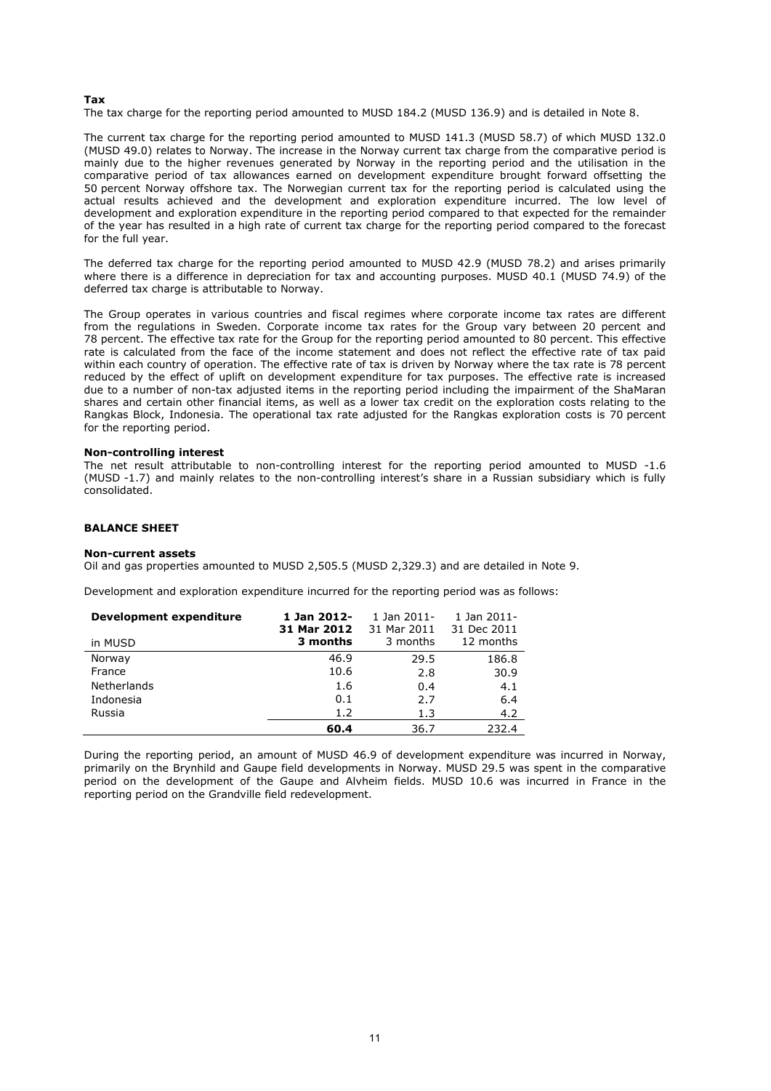#### **Tax**

The tax charge for the reporting period amounted to MUSD 184.2 (MUSD 136.9) and is detailed in Note 8.

The current tax charge for the reporting period amounted to MUSD 141.3 (MUSD 58.7) of which MUSD 132.0 (MUSD 49.0) relates to Norway. The increase in the Norway current tax charge from the comparative period is mainly due to the higher revenues generated by Norway in the reporting period and the utilisation in the comparative period of tax allowances earned on development expenditure brought forward offsetting the 50 percent Norway offshore tax. The Norwegian current tax for the reporting period is calculated using the actual results achieved and the development and exploration expenditure incurred. The low level of development and exploration expenditure in the reporting period compared to that expected for the remainder of the year has resulted in a high rate of current tax charge for the reporting period compared to the forecast for the full year.

The deferred tax charge for the reporting period amounted to MUSD 42.9 (MUSD 78.2) and arises primarily where there is a difference in depreciation for tax and accounting purposes. MUSD 40.1 (MUSD 74.9) of the deferred tax charge is attributable to Norway.

The Group operates in various countries and fiscal regimes where corporate income tax rates are different from the regulations in Sweden. Corporate income tax rates for the Group vary between 20 percent and 78 percent. The effective tax rate for the Group for the reporting period amounted to 80 percent. This effective rate is calculated from the face of the income statement and does not reflect the effective rate of tax paid within each country of operation. The effective rate of tax is driven by Norway where the tax rate is 78 percent reduced by the effect of uplift on development expenditure for tax purposes. The effective rate is increased due to a number of non-tax adjusted items in the reporting period including the impairment of the ShaMaran shares and certain other financial items, as well as a lower tax credit on the exploration costs relating to the Rangkas Block, Indonesia. The operational tax rate adjusted for the Rangkas exploration costs is 70 percent for the reporting period.

#### **Non-controlling interest**

The net result attributable to non-controlling interest for the reporting period amounted to MUSD -1.6 (MUSD -1.7) and mainly relates to the non-controlling interest's share in a Russian subsidiary which is fully consolidated.

#### **BALANCE SHEET**

#### **Non-current assets**

Oil and gas properties amounted to MUSD 2,505.5 (MUSD 2,329.3) and are detailed in Note 9.

Development and exploration expenditure incurred for the reporting period was as follows:

| Development expenditure<br>in MUSD | 1 Jan 2012-<br>31 Mar 2012<br>3 months | 1 Jan 2011-<br>31 Mar 2011<br>3 months | 1 Jan 2011-<br>31 Dec 2011<br>12 months |
|------------------------------------|----------------------------------------|----------------------------------------|-----------------------------------------|
| Norway                             | 46.9                                   | 29.5                                   | 186.8                                   |
| France                             | 10.6                                   | 2.8                                    | 30.9                                    |
| <b>Netherlands</b>                 | 1.6                                    | 0.4                                    | 4.1                                     |
| Indonesia                          | 0.1                                    | 2.7                                    | 6.4                                     |
| Russia                             | 1.2                                    | 1.3                                    | 4.2                                     |
|                                    | 60.4                                   | 36.7                                   | 232.4                                   |

During the reporting period, an amount of MUSD 46.9 of development expenditure was incurred in Norway, primarily on the Brynhild and Gaupe field developments in Norway. MUSD 29.5 was spent in the comparative period on the development of the Gaupe and Alvheim fields. MUSD 10.6 was incurred in France in the reporting period on the Grandville field redevelopment.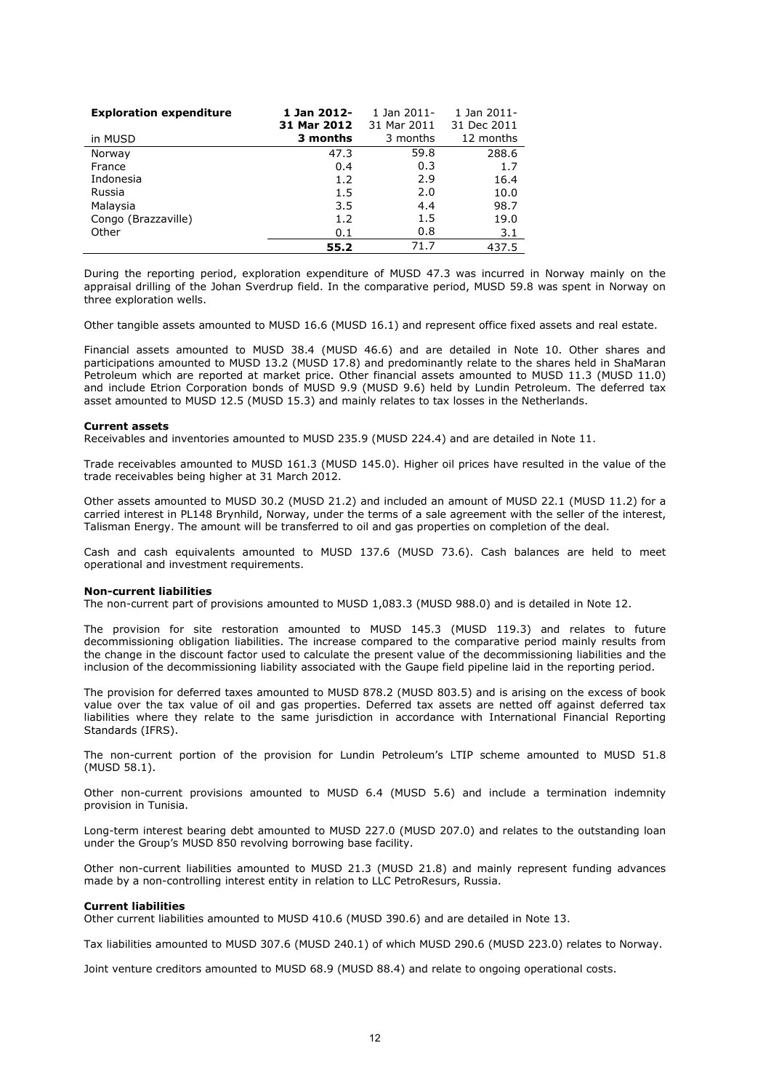| <b>Exploration expenditure</b> | 1 Jan 2012-<br>31 Mar 2012 | 1 Jan 2011-<br>31 Mar 2011 | 1 Jan 2011-<br>31 Dec 2011 |
|--------------------------------|----------------------------|----------------------------|----------------------------|
| in MUSD                        | 3 months                   | 3 months                   | 12 months                  |
| Norway                         | 47.3                       | 59.8                       | 288.6                      |
| France                         | 0.4                        | 0.3                        | 1.7                        |
| Indonesia                      | 1.2                        | 2.9                        | 16.4                       |
| Russia                         | 1.5                        | 2.0                        | 10.0                       |
| Malaysia                       | 3.5                        | 4.4                        | 98.7                       |
| Congo (Brazzaville)            | 1.2                        | 1.5                        | 19.0                       |
| Other                          | 0.1                        | 0.8                        | 3.1                        |
|                                | 55.2                       | 71.7                       | 437.5                      |

During the reporting period, exploration expenditure of MUSD 47.3 was incurred in Norway mainly on the appraisal drilling of the Johan Sverdrup field. In the comparative period, MUSD 59.8 was spent in Norway on three exploration wells.

Other tangible assets amounted to MUSD 16.6 (MUSD 16.1) and represent office fixed assets and real estate.

Financial assets amounted to MUSD 38.4 (MUSD 46.6) and are detailed in Note 10. Other shares and participations amounted to MUSD 13.2 (MUSD 17.8) and predominantly relate to the shares held in ShaMaran Petroleum which are reported at market price. Other financial assets amounted to MUSD 11.3 (MUSD 11.0) and include Etrion Corporation bonds of MUSD 9.9 (MUSD 9.6) held by Lundin Petroleum. The deferred tax asset amounted to MUSD 12.5 (MUSD 15.3) and mainly relates to tax losses in the Netherlands.

#### **Current assets**

Receivables and inventories amounted to MUSD 235.9 (MUSD 224.4) and are detailed in Note 11.

Trade receivables amounted to MUSD 161.3 (MUSD 145.0). Higher oil prices have resulted in the value of the trade receivables being higher at 31 March 2012.

Other assets amounted to MUSD 30.2 (MUSD 21.2) and included an amount of MUSD 22.1 (MUSD 11.2) for a carried interest in PL148 Brynhild, Norway, under the terms of a sale agreement with the seller of the interest, Talisman Energy. The amount will be transferred to oil and gas properties on completion of the deal.

Cash and cash equivalents amounted to MUSD 137.6 (MUSD 73.6). Cash balances are held to meet operational and investment requirements.

#### **Non-current liabilities**

The non-current part of provisions amounted to MUSD 1,083.3 (MUSD 988.0) and is detailed in Note 12.

The provision for site restoration amounted to MUSD 145.3 (MUSD 119.3) and relates to future decommissioning obligation liabilities. The increase compared to the comparative period mainly results from the change in the discount factor used to calculate the present value of the decommissioning liabilities and the inclusion of the decommissioning liability associated with the Gaupe field pipeline laid in the reporting period.

The provision for deferred taxes amounted to MUSD 878.2 (MUSD 803.5) and is arising on the excess of book value over the tax value of oil and gas properties. Deferred tax assets are netted off against deferred tax liabilities where they relate to the same jurisdiction in accordance with International Financial Reporting Standards (IFRS).

The non-current portion of the provision for Lundin Petroleum's LTIP scheme amounted to MUSD 51.8 (MUSD 58.1).

Other non-current provisions amounted to MUSD 6.4 (MUSD 5.6) and include a termination indemnity provision in Tunisia.

Long-term interest bearing debt amounted to MUSD 227.0 (MUSD 207.0) and relates to the outstanding loan under the Group's MUSD 850 revolving borrowing base facility.

Other non-current liabilities amounted to MUSD 21.3 (MUSD 21.8) and mainly represent funding advances made by a non-controlling interest entity in relation to LLC PetroResurs, Russia.

#### **Current liabilities**

Other current liabilities amounted to MUSD 410.6 (MUSD 390.6) and are detailed in Note 13.

Tax liabilities amounted to MUSD 307.6 (MUSD 240.1) of which MUSD 290.6 (MUSD 223.0) relates to Norway.

Joint venture creditors amounted to MUSD 68.9 (MUSD 88.4) and relate to ongoing operational costs.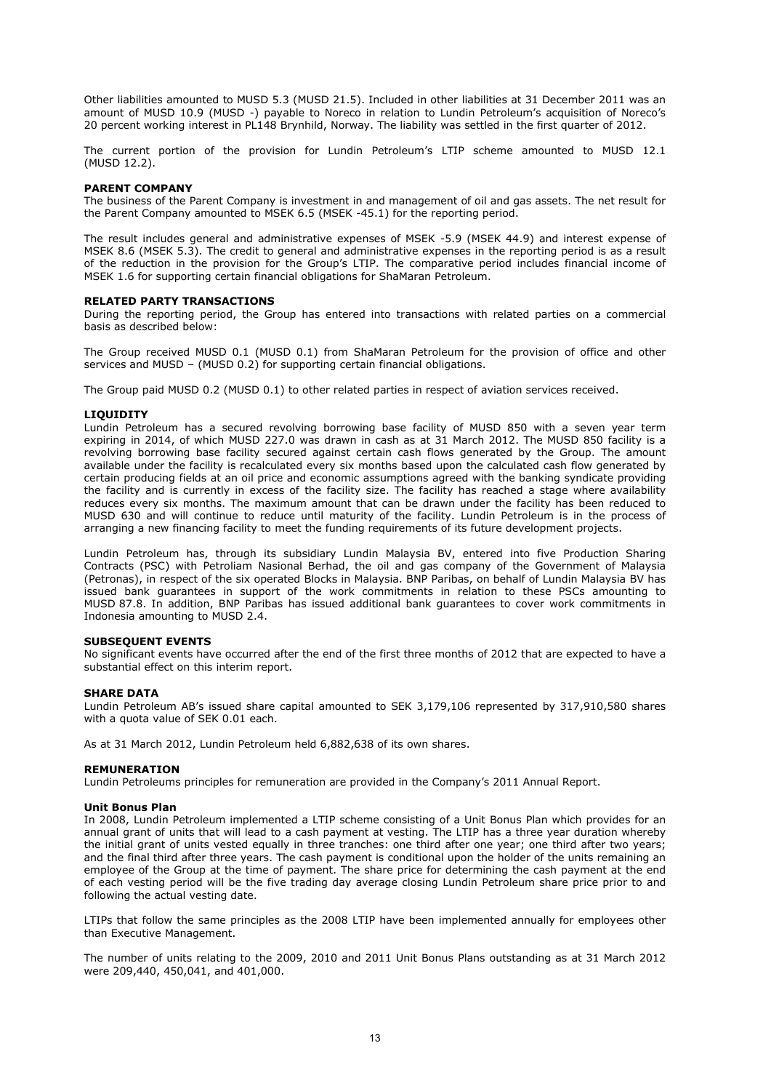Other liabilities amounted to MUSD 5.3 (MUSD 21.5). Included in other liabilities at 31 December 2011 was an amount of MUSD 10.9 (MUSD -) payable to Noreco in relation to Lundin Petroleum's acquisition of Noreco's 20 percent working interest in PL148 Brynhild, Norway. The liability was settled in the first quarter of 2012.

The current portion of the provision for Lundin Petroleum's LTIP scheme amounted to MUSD 12.1 (MUSD 12.2).

#### **PARENT COMPANY**

The business of the Parent Company is investment in and management of oil and gas assets. The net result for the Parent Company amounted to MSEK 6.5 (MSEK -45.1) for the reporting period.

The result includes general and administrative expenses of MSEK -5.9 (MSEK 44.9) and interest expense of MSEK 8.6 (MSEK 5.3). The credit to general and administrative expenses in the reporting period is as a result of the reduction in the provision for the Group's LTIP. The comparative period includes financial income of MSEK 1.6 for supporting certain financial obligations for ShaMaran Petroleum.

#### **RELATED PARTY TRANSACTIONS**

During the reporting period, the Group has entered into transactions with related parties on a commercial basis as described below:

The Group received MUSD 0.1 (MUSD 0.1) from ShaMaran Petroleum for the provision of office and other services and MUSD – (MUSD 0.2) for supporting certain financial obligations.

The Group paid MUSD 0.2 (MUSD 0.1) to other related parties in respect of aviation services received.

#### **LIQUIDITY**

Lundin Petroleum has a secured revolving borrowing base facility of MUSD 850 with a seven year term expiring in 2014, of which MUSD 227.0 was drawn in cash as at 31 March 2012. The MUSD 850 facility is a revolving borrowing base facility secured against certain cash flows generated by the Group. The amount available under the facility is recalculated every six months based upon the calculated cash flow generated by certain producing fields at an oil price and economic assumptions agreed with the banking syndicate providing the facility and is currently in excess of the facility size. The facility has reached a stage where availability reduces every six months. The maximum amount that can be drawn under the facility has been reduced to MUSD 630 and will continue to reduce until maturity of the facility. Lundin Petroleum is in the process of arranging a new financing facility to meet the funding requirements of its future development projects.

Lundin Petroleum has, through its subsidiary Lundin Malaysia BV, entered into five Production Sharing Contracts (PSC) with Petroliam Nasional Berhad, the oil and gas company of the Government of Malaysia (Petronas), in respect of the six operated Blocks in Malaysia. BNP Paribas, on behalf of Lundin Malaysia BV has issued bank guarantees in support of the work commitments in relation to these PSCs amounting to MUSD 87.8. In addition, BNP Paribas has issued additional bank guarantees to cover work commitments in Indonesia amounting to MUSD 2.4.

#### **SUBSEQUENT EVENTS**

No significant events have occurred after the end of the first three months of 2012 that are expected to have a substantial effect on this interim report.

#### **SHARE DATA**

Lundin Petroleum AB's issued share capital amounted to SEK 3,179,106 represented by 317,910,580 shares with a quota value of SEK 0.01 each.

As at 31 March 2012, Lundin Petroleum held 6,882,638 of its own shares.

#### **REMUNERATION**

Lundin Petroleums principles for remuneration are provided in the Company's 2011 Annual Report.

#### **Unit Bonus Plan**

In 2008, Lundin Petroleum implemented a LTIP scheme consisting of a Unit Bonus Plan which provides for an annual grant of units that will lead to a cash payment at vesting. The LTIP has a three year duration whereby the initial grant of units vested equally in three tranches: one third after one year; one third after two years; and the final third after three years. The cash payment is conditional upon the holder of the units remaining an employee of the Group at the time of payment. The share price for determining the cash payment at the end of each vesting period will be the five trading day average closing Lundin Petroleum share price prior to and following the actual vesting date.

LTIPs that follow the same principles as the 2008 LTIP have been implemented annually for employees other than Executive Management.

The number of units relating to the 2009, 2010 and 2011 Unit Bonus Plans outstanding as at 31 March 2012 were 209,440, 450,041, and 401,000.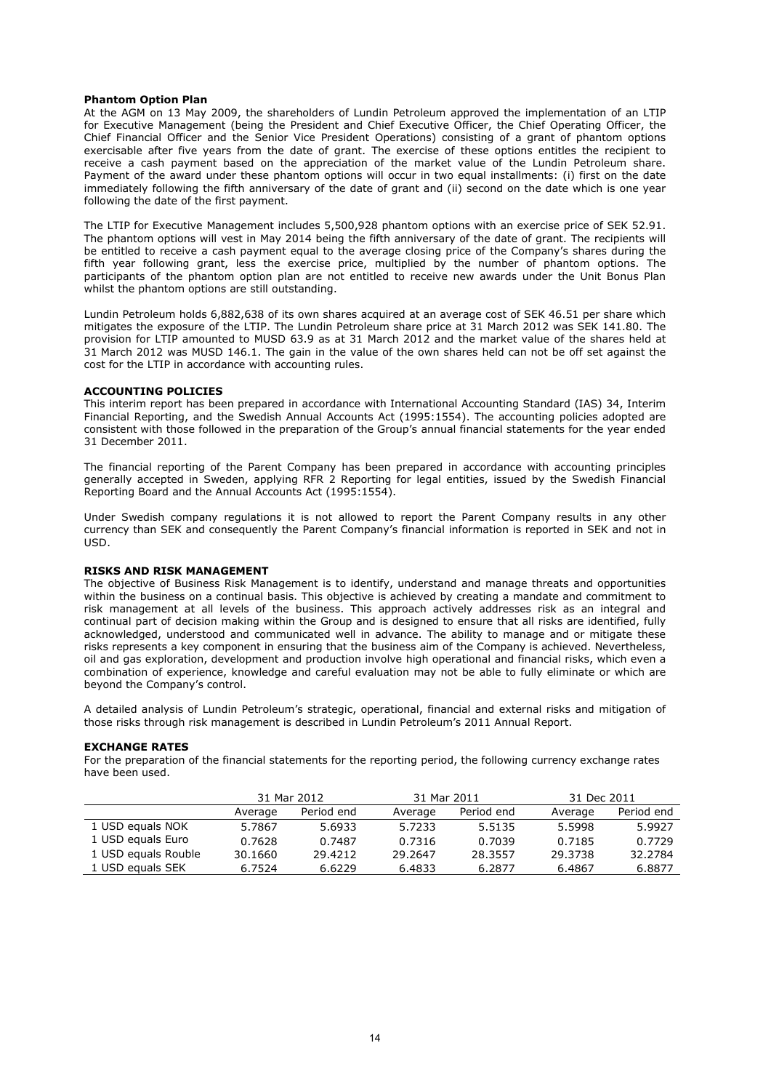#### **Phantom Option Plan**

At the AGM on 13 May 2009, the shareholders of Lundin Petroleum approved the implementation of an LTIP for Executive Management (being the President and Chief Executive Officer, the Chief Operating Officer, the Chief Financial Officer and the Senior Vice President Operations) consisting of a grant of phantom options exercisable after five years from the date of grant. The exercise of these options entitles the recipient to receive a cash payment based on the appreciation of the market value of the Lundin Petroleum share. Payment of the award under these phantom options will occur in two equal installments: (i) first on the date immediately following the fifth anniversary of the date of grant and (ii) second on the date which is one year following the date of the first payment.

The LTIP for Executive Management includes 5,500,928 phantom options with an exercise price of SEK 52.91. The phantom options will vest in May 2014 being the fifth anniversary of the date of grant. The recipients will be entitled to receive a cash payment equal to the average closing price of the Company's shares during the fifth year following grant, less the exercise price, multiplied by the number of phantom options. The participants of the phantom option plan are not entitled to receive new awards under the Unit Bonus Plan whilst the phantom options are still outstanding.

Lundin Petroleum holds 6,882,638 of its own shares acquired at an average cost of SEK 46.51 per share which mitigates the exposure of the LTIP. The Lundin Petroleum share price at 31 March 2012 was SEK 141.80. The provision for LTIP amounted to MUSD 63.9 as at 31 March 2012 and the market value of the shares held at 31 March 2012 was MUSD 146.1. The gain in the value of the own shares held can not be off set against the cost for the LTIP in accordance with accounting rules.

#### **ACCOUNTING POLICIES**

This interim report has been prepared in accordance with International Accounting Standard (IAS) 34, Interim Financial Reporting, and the Swedish Annual Accounts Act (1995:1554). The accounting policies adopted are consistent with those followed in the preparation of the Group's annual financial statements for the year ended 31 December 2011.

The financial reporting of the Parent Company has been prepared in accordance with accounting principles generally accepted in Sweden, applying RFR 2 Reporting for legal entities, issued by the Swedish Financial Reporting Board and the Annual Accounts Act (1995:1554).

Under Swedish company regulations it is not allowed to report the Parent Company results in any other currency than SEK and consequently the Parent Company's financial information is reported in SEK and not in USD.

#### **RISKS AND RISK MANAGEMENT**

The objective of Business Risk Management is to identify, understand and manage threats and opportunities within the business on a continual basis. This objective is achieved by creating a mandate and commitment to risk management at all levels of the business. This approach actively addresses risk as an integral and continual part of decision making within the Group and is designed to ensure that all risks are identified, fully acknowledged, understood and communicated well in advance. The ability to manage and or mitigate these risks represents a key component in ensuring that the business aim of the Company is achieved. Nevertheless, oil and gas exploration, development and production involve high operational and financial risks, which even a combination of experience, knowledge and careful evaluation may not be able to fully eliminate or which are beyond the Company's control.

A detailed analysis of Lundin Petroleum's strategic, operational, financial and external risks and mitigation of those risks through risk management is described in Lundin Petroleum's 2011 Annual Report.

#### **EXCHANGE RATES**

For the preparation of the financial statements for the reporting period, the following currency exchange rates have been used.

|                     |         | 31 Mar 2012 | 31 Mar 2011 |            | 31 Dec 2011 |            |
|---------------------|---------|-------------|-------------|------------|-------------|------------|
|                     | Average | Period end  | Average     | Period end | Average     | Period end |
| 1 USD equals NOK    | 5.7867  | 5.6933      | 5.7233      | 5.5135     | 5.5998      | 5.9927     |
| 1 USD equals Euro   | 0.7628  | 0.7487      | 0.7316      | 0.7039     | 0.7185      | 0.7729     |
| 1 USD equals Rouble | 30.1660 | 29.4212     | 29.2647     | 28.3557    | 29.3738     | 32.2784    |
| 1 USD equals SEK    | 6.7524  | 6.6229      | 6.4833      | 6.2877     | 6.4867      | 6.8877     |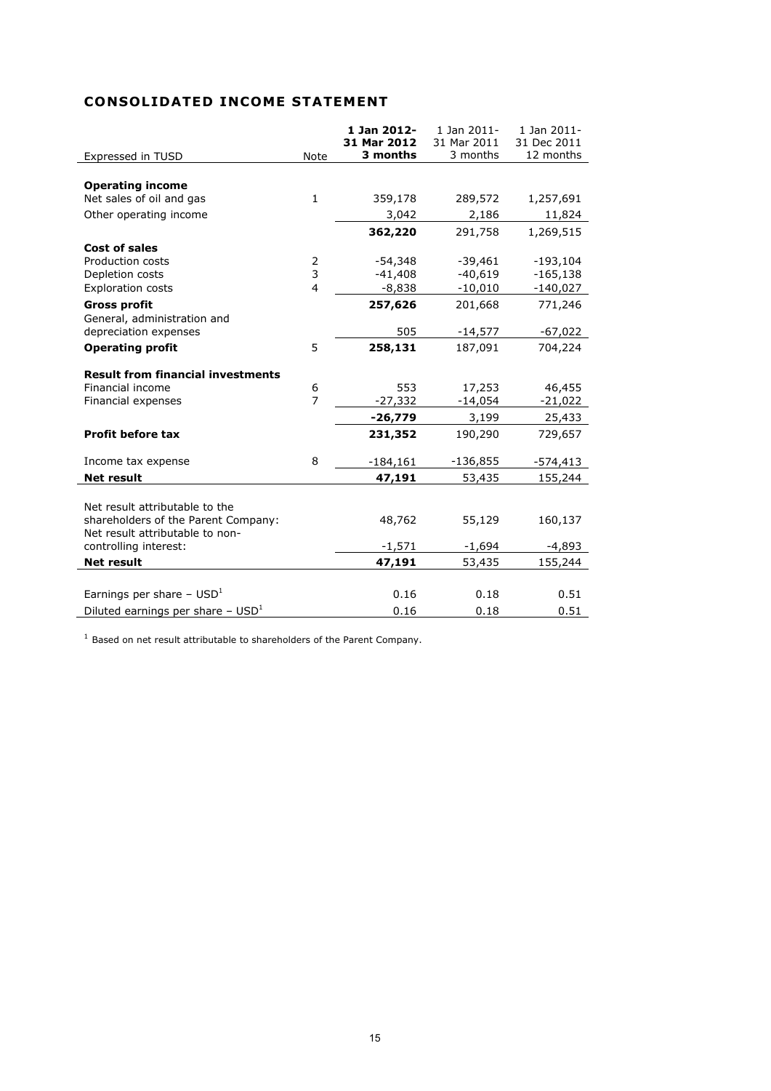# **CONSOLIDATED INCOME STATEMENT**

|                                               |                | 1 Jan 2012- | 1 Jan 2011- | 1 Jan 2011- |
|-----------------------------------------------|----------------|-------------|-------------|-------------|
|                                               |                | 31 Mar 2012 | 31 Mar 2011 | 31 Dec 2011 |
| Expressed in TUSD                             | Note           | 3 months    | 3 months    | 12 months   |
|                                               |                |             |             |             |
| <b>Operating income</b>                       |                |             |             |             |
| Net sales of oil and gas                      | $\mathbf{1}$   | 359,178     | 289,572     | 1,257,691   |
| Other operating income                        |                | 3,042       | 2,186       | 11,824      |
|                                               |                | 362,220     | 291,758     | 1,269,515   |
| <b>Cost of sales</b>                          |                |             |             |             |
| Production costs                              | 2              | $-54,348$   | $-39,461$   | $-193,104$  |
| Depletion costs                               | 3              | $-41,408$   | $-40,619$   | $-165, 138$ |
| <b>Exploration costs</b>                      | 4              | $-8,838$    | $-10,010$   | $-140,027$  |
| <b>Gross profit</b>                           |                | 257,626     | 201,668     | 771,246     |
| General, administration and                   |                |             |             |             |
| depreciation expenses                         |                | 505         | $-14,577$   | $-67,022$   |
| <b>Operating profit</b>                       | 5              | 258,131     | 187,091     | 704,224     |
| <b>Result from financial investments</b>      |                |             |             |             |
| Financial income                              | 6              | 553         | 17,253      | 46,455      |
| Financial expenses                            | $\overline{7}$ | $-27,332$   | $-14,054$   | $-21,022$   |
|                                               |                | $-26,779$   | 3,199       | 25,433      |
| <b>Profit before tax</b>                      |                | 231,352     | 190,290     | 729,657     |
| Income tax expense                            | 8              | $-184,161$  | $-136,855$  | -574,413    |
| <b>Net result</b>                             |                |             |             |             |
|                                               |                | 47,191      | 53,435      | 155,244     |
| Net result attributable to the                |                |             |             |             |
| shareholders of the Parent Company:           |                | 48,762      | 55,129      | 160,137     |
| Net result attributable to non-               |                |             |             |             |
| controlling interest:                         |                | $-1,571$    | $-1,694$    | -4,893      |
| <b>Net result</b>                             |                | 47,191      | 53,435      | 155,244     |
|                                               |                |             |             |             |
| Earnings per share - $USD1$                   |                | 0.16        | 0.18        | 0.51        |
| Diluted earnings per share - $\mathsf{USD}^1$ |                | 0.16        | 0.18        | 0.51        |
|                                               |                |             |             |             |

 $^1$  Based on net result attributable to shareholders of the Parent Company.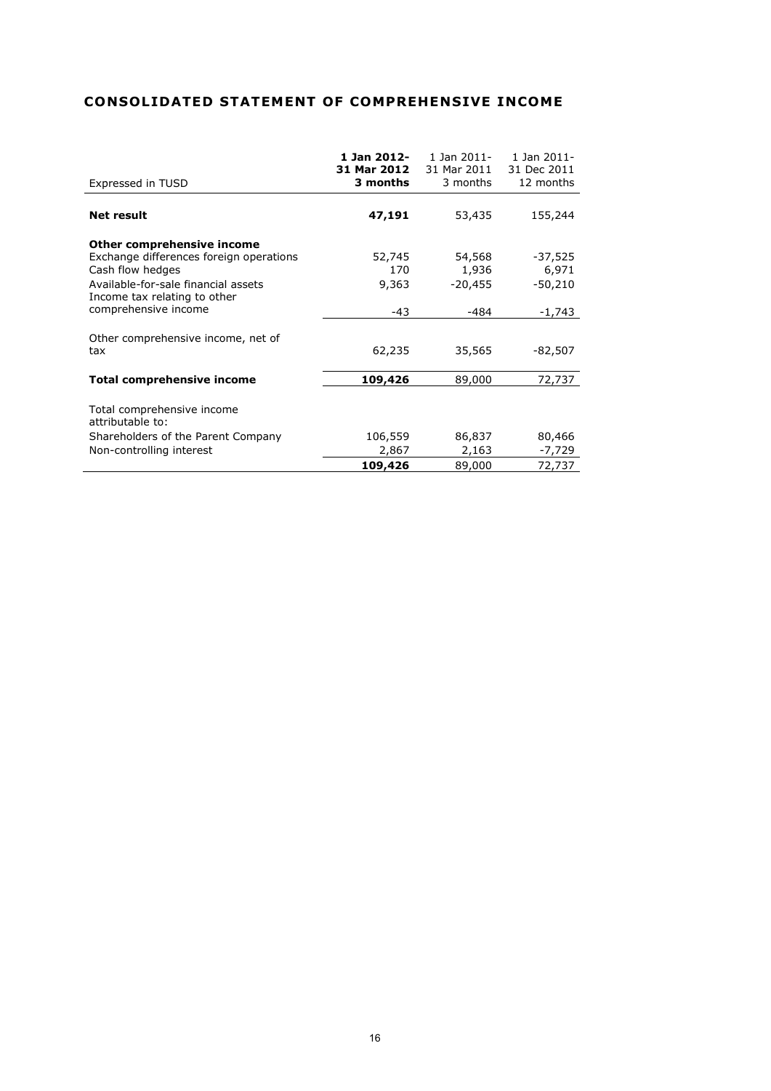# **CONSOLIDATED STATEMENT OF COMPREHENSIVE INCOME**

| Expressed in TUSD                                                   | 1 Jan 2012-<br>31 Mar 2012<br>3 months | 1 Jan 2011-<br>31 Mar 2011<br>3 months | 1 Jan 2011-<br>31 Dec 2011<br>12 months |
|---------------------------------------------------------------------|----------------------------------------|----------------------------------------|-----------------------------------------|
| Net result                                                          | 47,191                                 | 53,435                                 | 155,244                                 |
| Other comprehensive income                                          |                                        |                                        |                                         |
| Exchange differences foreign operations                             | 52,745                                 | 54,568                                 | -37,525                                 |
| Cash flow hedges                                                    | 170                                    | 1,936                                  | 6,971                                   |
| Available-for-sale financial assets<br>Income tax relating to other | 9,363                                  | $-20,455$                              | $-50,210$                               |
| comprehensive income                                                | $-43$                                  | $-484$                                 | -1,743                                  |
| Other comprehensive income, net of<br>tax                           | 62,235                                 | 35,565                                 | -82,507                                 |
| <b>Total comprehensive income</b>                                   | 109,426                                | 89,000                                 | 72,737                                  |
| Total comprehensive income<br>attributable to:                      |                                        |                                        |                                         |
| Shareholders of the Parent Company                                  | 106,559                                | 86,837                                 | 80,466                                  |
| Non-controlling interest                                            | 2,867                                  | 2,163                                  | -7,729                                  |
|                                                                     | 109,426                                | 89,000                                 | 72,737                                  |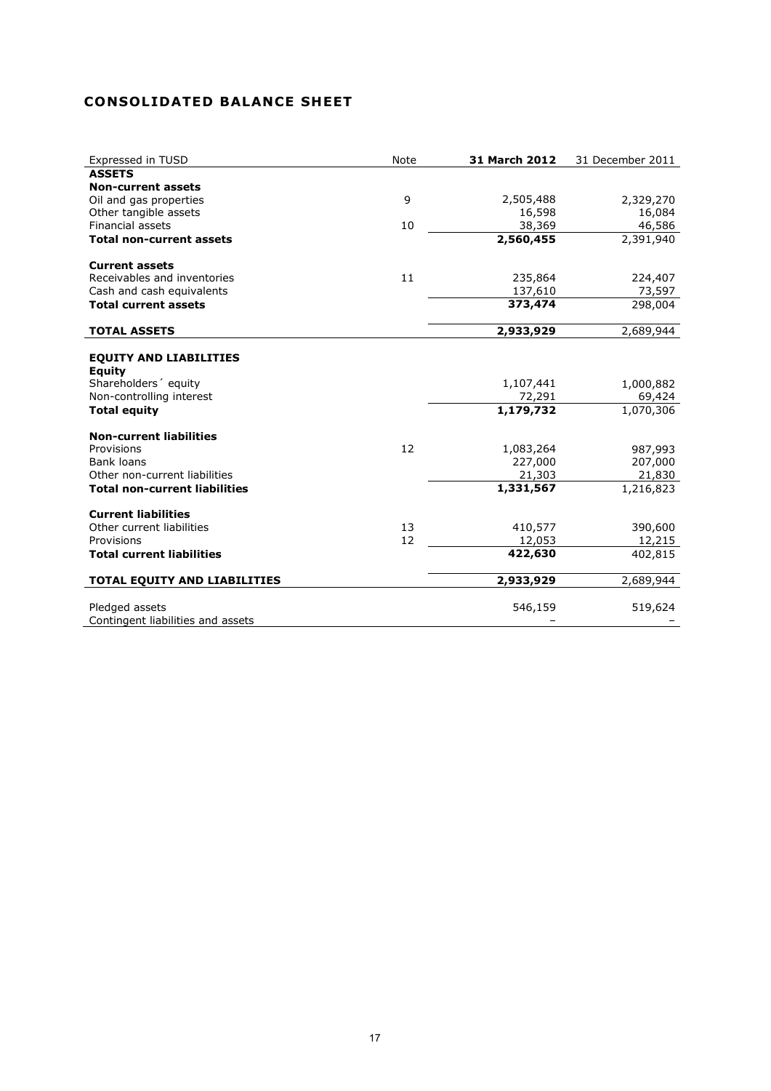# **CONSOLIDATED BALANCE SHEET**

| Expressed in TUSD                                                                                                                                                                       | Note | 31 March 2012                                            | 31 December 2011                                       |
|-----------------------------------------------------------------------------------------------------------------------------------------------------------------------------------------|------|----------------------------------------------------------|--------------------------------------------------------|
| <b>ASSETS</b>                                                                                                                                                                           |      |                                                          |                                                        |
| <b>Non-current assets</b>                                                                                                                                                               |      |                                                          |                                                        |
| Oil and gas properties                                                                                                                                                                  | 9    | 2,505,488                                                | 2,329,270                                              |
| Other tangible assets                                                                                                                                                                   |      | 16,598                                                   | 16,084                                                 |
| Financial assets                                                                                                                                                                        | 10   | 38,369                                                   | 46,586                                                 |
| <b>Total non-current assets</b>                                                                                                                                                         |      | 2,560,455                                                | 2,391,940                                              |
| <b>Current assets</b>                                                                                                                                                                   |      |                                                          |                                                        |
| Receivables and inventories                                                                                                                                                             | 11   | 235,864                                                  | 224,407                                                |
| Cash and cash equivalents                                                                                                                                                               |      | 137,610                                                  | 73,597                                                 |
| <b>Total current assets</b>                                                                                                                                                             |      | 373,474                                                  | 298,004                                                |
| <b>TOTAL ASSETS</b>                                                                                                                                                                     |      | 2,933,929                                                | 2,689,944                                              |
| <b>EQUITY AND LIABILITIES</b><br><b>Equity</b><br>Shareholders' equity<br>Non-controlling interest<br><b>Total equity</b><br><b>Non-current liabilities</b><br>Provisions<br>Bank loans | 12   | 1,107,441<br>72,291<br>1,179,732<br>1,083,264<br>227,000 | 1,000,882<br>69,424<br>1,070,306<br>987,993<br>207,000 |
| Other non-current liabilities                                                                                                                                                           |      | 21,303                                                   | 21,830                                                 |
| <b>Total non-current liabilities</b>                                                                                                                                                    |      | 1,331,567                                                | 1,216,823                                              |
| <b>Current liabilities</b>                                                                                                                                                              |      |                                                          |                                                        |
| Other current liabilities                                                                                                                                                               | 13   | 410,577                                                  | 390,600                                                |
| Provisions                                                                                                                                                                              | 12   | 12,053                                                   | 12,215                                                 |
| <b>Total current liabilities</b>                                                                                                                                                        |      | 422,630                                                  | 402,815                                                |
| TOTAL EQUITY AND LIABILITIES                                                                                                                                                            |      | 2,933,929                                                | 2,689,944                                              |
| Pledged assets<br>Contingent liabilities and assets                                                                                                                                     |      | 546,159                                                  | 519,624                                                |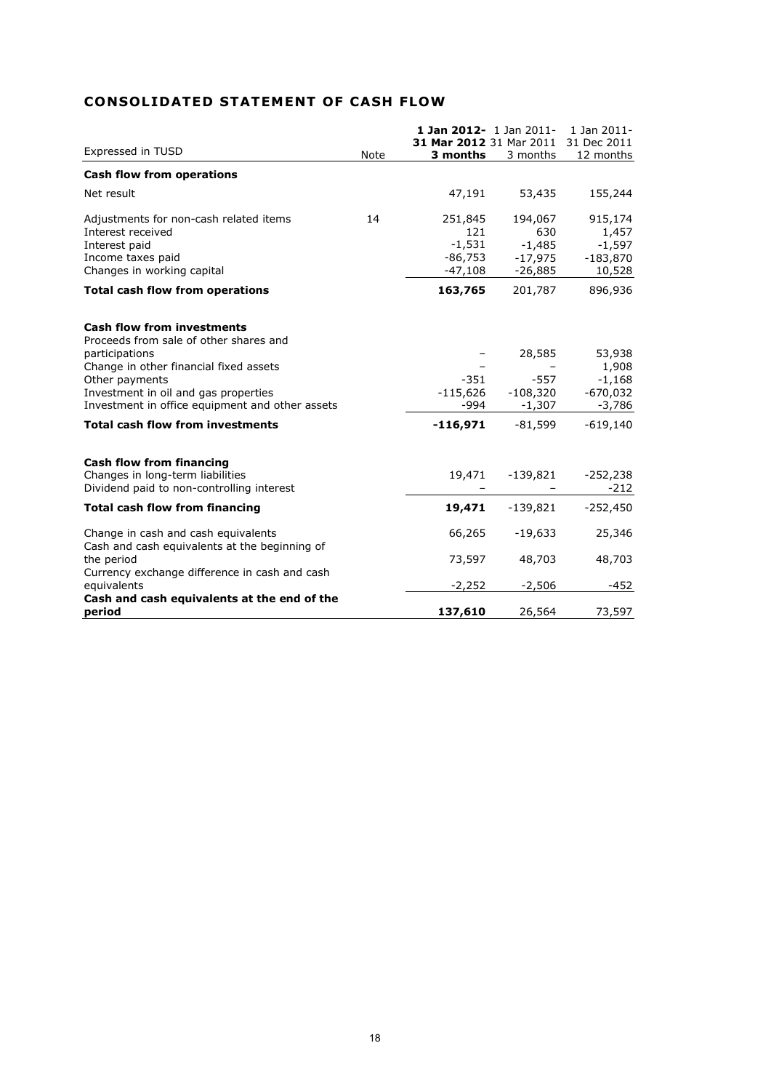|  |  |  |  | <b>CONSOLIDATED STATEMENT OF CASH FLOW</b> |  |  |  |
|--|--|--|--|--------------------------------------------|--|--|--|
|--|--|--|--|--------------------------------------------|--|--|--|

|                                                                                                                                                                                                                                                                                                 |      | 1 Jan 2012- 1 Jan 2011-                            |                                                         | 1 Jan 2011-                                                       |
|-------------------------------------------------------------------------------------------------------------------------------------------------------------------------------------------------------------------------------------------------------------------------------------------------|------|----------------------------------------------------|---------------------------------------------------------|-------------------------------------------------------------------|
| Expressed in TUSD                                                                                                                                                                                                                                                                               |      | 31 Mar 2012 31 Mar 2011                            |                                                         | 31 Dec 2011                                                       |
|                                                                                                                                                                                                                                                                                                 | Note | 3 months                                           | 3 months                                                | 12 months                                                         |
| <b>Cash flow from operations</b>                                                                                                                                                                                                                                                                |      |                                                    |                                                         |                                                                   |
| Net result                                                                                                                                                                                                                                                                                      |      | 47,191                                             | 53,435                                                  | 155,244                                                           |
| Adjustments for non-cash related items<br>Interest received<br>Interest paid<br>Income taxes paid<br>Changes in working capital                                                                                                                                                                 | 14   | 251,845<br>121<br>$-1,531$<br>-86,753<br>$-47,108$ | 194,067<br>630<br>$-1,485$<br>$-17,975$<br>$-26,885$    | 915,174<br>1,457<br>$-1,597$<br>$-183,870$<br>10,528              |
| <b>Total cash flow from operations</b>                                                                                                                                                                                                                                                          |      | 163,765                                            | 201,787                                                 | 896,936                                                           |
| <b>Cash flow from investments</b><br>Proceeds from sale of other shares and<br>participations<br>Change in other financial fixed assets<br>Other payments<br>Investment in oil and gas properties<br>Investment in office equipment and other assets<br><b>Total cash flow from investments</b> |      | $-351$<br>$-115,626$<br>-994<br>$-116,971$         | 28,585<br>$-557$<br>$-108,320$<br>$-1,307$<br>$-81,599$ | 53,938<br>1,908<br>$-1,168$<br>$-670,032$<br>-3,786<br>$-619,140$ |
|                                                                                                                                                                                                                                                                                                 |      |                                                    |                                                         |                                                                   |
| <b>Cash flow from financing</b><br>Changes in long-term liabilities<br>Dividend paid to non-controlling interest<br><b>Total cash flow from financing</b>                                                                                                                                       |      | 19,471<br>19,471                                   | $-139,821$<br>$-139,821$                                | $-252,238$<br>$-212$<br>$-252,450$                                |
|                                                                                                                                                                                                                                                                                                 |      |                                                    |                                                         |                                                                   |
| Change in cash and cash equivalents<br>Cash and cash equivalents at the beginning of<br>the period                                                                                                                                                                                              |      | 66,265<br>73,597                                   | $-19,633$<br>48,703                                     | 25,346<br>48,703                                                  |
| Currency exchange difference in cash and cash                                                                                                                                                                                                                                                   |      |                                                    |                                                         |                                                                   |
| equivalents<br>Cash and cash equivalents at the end of the                                                                                                                                                                                                                                      |      | $-2,252$                                           | $-2,506$                                                | $-452$                                                            |
| period                                                                                                                                                                                                                                                                                          |      | 137,610                                            | 26,564                                                  | 73,597                                                            |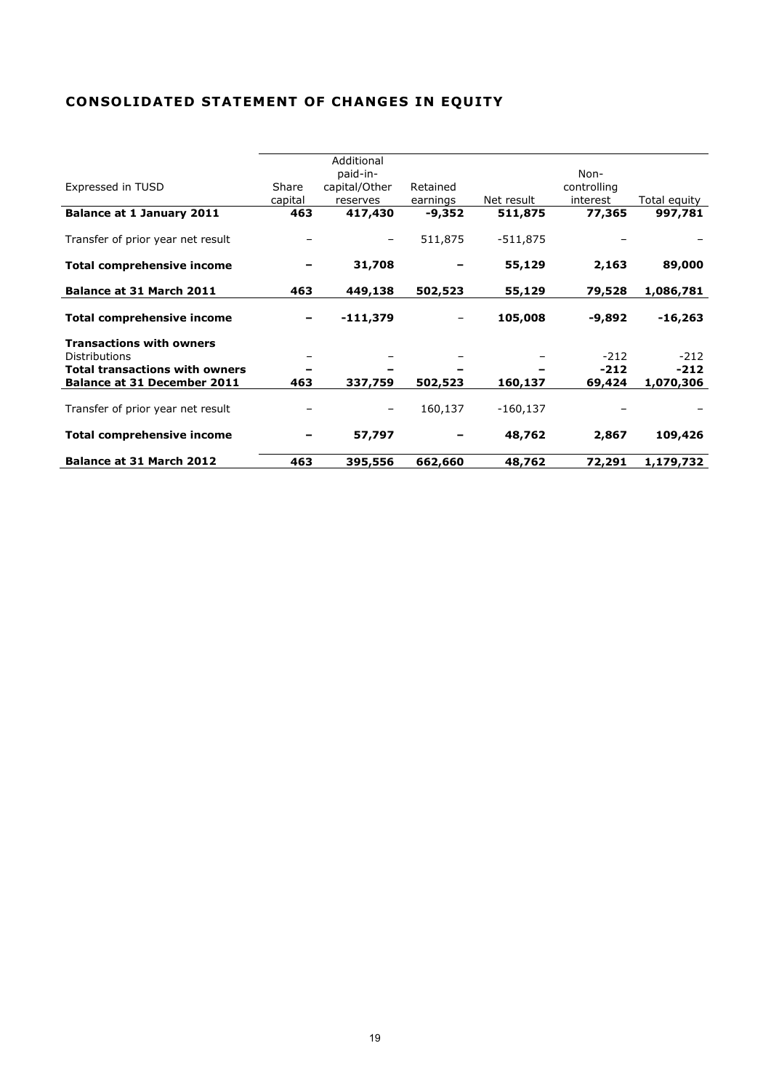# **CONSOLIDATED STATEMENT OF CHANGES IN EQUITY**

|                                       |         | Additional    |          |             |             |              |
|---------------------------------------|---------|---------------|----------|-------------|-------------|--------------|
|                                       |         | paid-in-      |          |             | Non-        |              |
| Expressed in TUSD                     | Share   | capital/Other | Retained |             | controlling |              |
|                                       | capital | reserves      | earnings | Net result  | interest    | Total equity |
| <b>Balance at 1 January 2011</b>      | 463     | 417,430       | $-9,352$ | 511,875     | 77,365      | 997,781      |
|                                       |         |               |          |             |             |              |
| Transfer of prior year net result     |         | -             | 511,875  | -511,875    |             |              |
|                                       |         |               |          |             |             |              |
| <b>Total comprehensive income</b>     |         | 31,708        |          | 55,129      | 2,163       | 89,000       |
|                                       |         |               |          |             |             |              |
| Balance at 31 March 2011              | 463     | 449,138       | 502,523  | 55,129      | 79,528      | 1,086,781    |
| <b>Total comprehensive income</b>     |         | $-111,379$    |          | 105,008     | $-9,892$    | $-16,263$    |
|                                       |         |               |          |             |             |              |
| <b>Transactions with owners</b>       |         |               |          |             |             |              |
| <b>Distributions</b>                  |         |               |          |             | $-212$      | $-212$       |
| <b>Total transactions with owners</b> |         |               |          |             | $-212$      | $-212$       |
| <b>Balance at 31 December 2011</b>    | 463     | 337,759       | 502,523  | 160,137     | 69,424      | 1,070,306    |
|                                       |         |               |          |             |             |              |
| Transfer of prior year net result     |         | -             | 160,137  | $-160, 137$ |             |              |
|                                       |         |               |          |             |             |              |
| <b>Total comprehensive income</b>     |         | 57,797        |          | 48,762      | 2,867       | 109,426      |
|                                       |         |               |          |             |             |              |
| Balance at 31 March 2012              | 463     | 395,556       | 662,660  | 48,762      | 72,291      | 1,179,732    |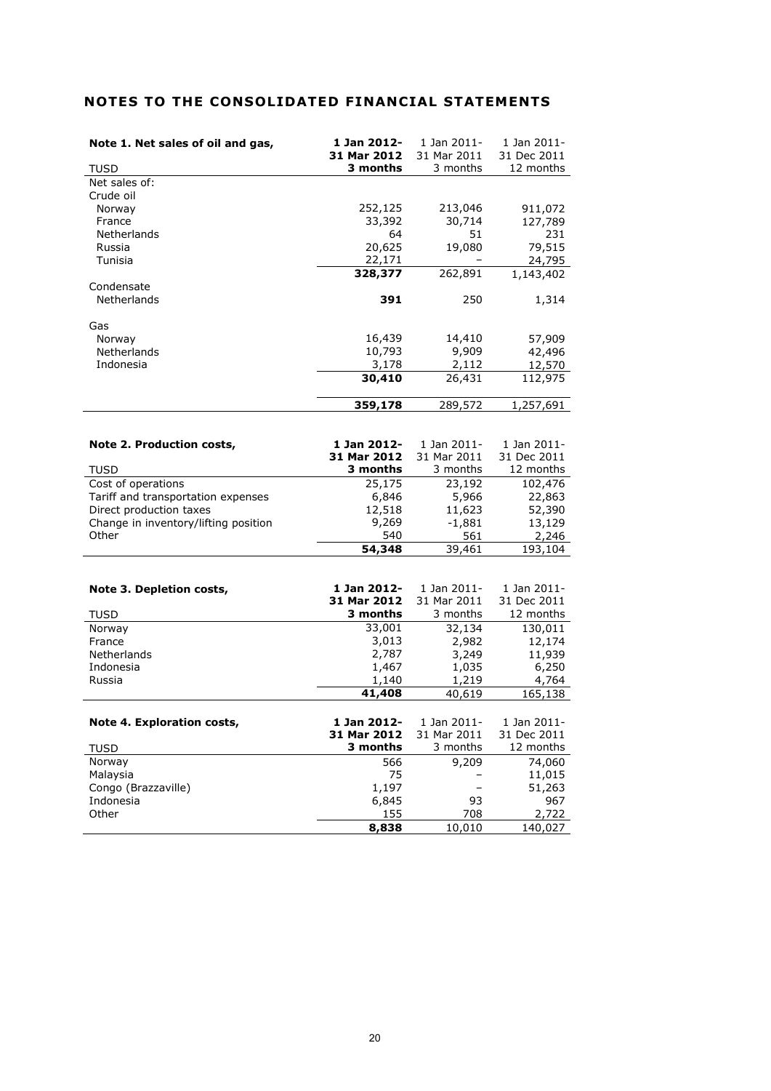| Note 1. Net sales of oil and gas,    | 1 Jan 2012-<br>31 Mar 2012 | 1 Jan 2011-<br>31 Mar 2011 | 1 Jan 2011-<br>31 Dec 2011 |  |
|--------------------------------------|----------------------------|----------------------------|----------------------------|--|
| <b>TUSD</b>                          | 3 months                   | 3 months                   | 12 months                  |  |
| Net sales of:<br>Crude oil           |                            |                            |                            |  |
| Norway                               | 252,125                    | 213,046                    | 911,072                    |  |
| France                               | 33,392                     | 30,714                     | 127,789                    |  |
| Netherlands                          | 64                         | 51                         | 231                        |  |
| Russia                               | 20,625                     | 19,080                     | 79,515                     |  |
| Tunisia                              | 22,171                     |                            | 24,795                     |  |
|                                      | 328,377                    | 262,891                    | 1,143,402                  |  |
| Condensate                           |                            |                            |                            |  |
| <b>Netherlands</b>                   | 391                        | 250                        | 1,314                      |  |
| Gas                                  |                            |                            |                            |  |
| Norway                               | 16,439                     | 14,410                     | 57,909                     |  |
| Netherlands                          | 10,793                     | 9,909                      | 42,496                     |  |
| Indonesia                            | 3,178                      | 2,112                      | 12,570                     |  |
|                                      | 30,410                     | 26,431                     | 112,975                    |  |
|                                      |                            |                            |                            |  |
|                                      | 359,178                    | 289,572                    | 1,257,691                  |  |
|                                      |                            |                            |                            |  |
| Note 2. Production costs,            | 1 Jan 2012-                | 1 Jan 2011-                | 1 Jan 2011-                |  |
|                                      | 31 Mar 2012                | 31 Mar 2011                | 31 Dec 2011                |  |
| <b>TUSD</b>                          | 3 months                   | 3 months                   | 12 months                  |  |
| Cost of operations                   | 25,175                     | 23,192                     | 102,476                    |  |
| Tariff and transportation expenses   | 6,846                      | 5,966                      | 22,863                     |  |
| Direct production taxes              | 12,518                     | 11,623                     | 52,390                     |  |
| Change in inventory/lifting position | 9,269                      | $-1,881$                   | 13,129                     |  |
| Other                                | 540                        | 561                        | 2,246                      |  |
|                                      | 54,348                     | 39,461                     | 193,104                    |  |
|                                      |                            |                            |                            |  |
| Note 3. Depletion costs,             | 1 Jan 2012-                | 1 Jan 2011-                | 1 Jan 2011-                |  |
|                                      | 31 Mar 2012                | 31 Mar 2011                | 31 Dec 2011                |  |
| <b>TUSD</b>                          | 3 months                   | 3 months                   | 12 months                  |  |
| Norway                               | 33,001                     | 32,134                     | 130,011                    |  |
| France                               | 3,013                      | 2,982                      | 12,174                     |  |
| Netherlands                          | 2,787                      | 3,249                      | 11,939                     |  |
| Indonesia                            | 1,467                      | 1,035                      | 6,250                      |  |
| Russia                               | 1,140                      | 1,219                      | 4,764                      |  |
|                                      | 41,408                     | 40,619                     | 165,138                    |  |
|                                      |                            |                            |                            |  |
| Note 4. Exploration costs,           | 1 Jan 2012-                | 1 Jan 2011-                | 1 Jan 2011-                |  |
|                                      | 31 Mar 2012                | 31 Mar 2011                | 31 Dec 2011                |  |
| <b>TUSD</b>                          | 3 months                   | 3 months                   | 12 months                  |  |
| Norway                               | 566                        | 9,209                      | 74,060                     |  |
| Malaysia                             | 75                         |                            | 11,015                     |  |
| Congo (Brazzaville)                  | 1,197                      |                            | 51,263                     |  |
| Indonesia                            | 6,845                      | 93                         | 967                        |  |
| Other                                | 155                        | 708                        | 2,722                      |  |
|                                      | 8,838                      | 10,010                     | 140,027                    |  |

# **NOTES TO THE CONSOLIDATED FINANCIAL STATEMENTS**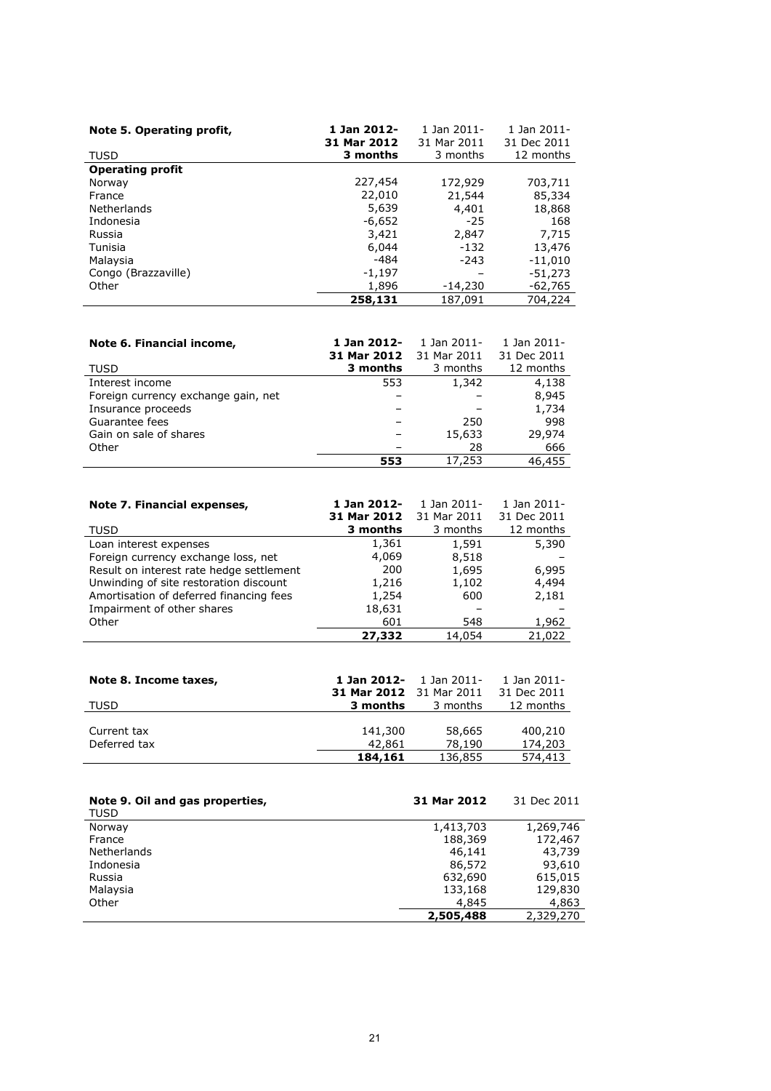| Note 5. Operating profit, | 1 Jan 2012-<br>31 Mar 2012 | 1 Jan 2011-<br>31 Mar 2011 | 1 Jan 2011-<br>31 Dec 2011 |
|---------------------------|----------------------------|----------------------------|----------------------------|
| TUSD                      | 3 months                   | 3 months                   | 12 months                  |
| <b>Operating profit</b>   |                            |                            |                            |
| Norway                    | 227,454                    | 172,929                    | 703,711                    |
| France                    | 22,010                     | 21,544                     | 85,334                     |
| Netherlands               | 5,639                      | 4,401                      | 18,868                     |
| Indonesia                 | -6,652                     | $-25$                      | 168                        |
| Russia                    | 3,421                      | 2,847                      | 7,715                      |
| Tunisia                   | 6,044                      | $-132$                     | 13,476                     |
| Malaysia                  | -484                       | $-243$                     | $-11,010$                  |
| Congo (Brazzaville)       | $-1,197$                   |                            | $-51,273$                  |
| Other                     | 1,896                      | $-14,230$                  | $-62,765$                  |
|                           | 258,131                    | 187.091                    | 704,224                    |

l,

| Note 6. Financial income,           | 1 Jan 2012-<br>31 Mar 2012 | 1 Jan 2011-<br>31 Mar 2011 | 1 Jan 2011-<br>31 Dec 2011 |
|-------------------------------------|----------------------------|----------------------------|----------------------------|
| <b>TUSD</b>                         | 3 months                   | 3 months                   | 12 months                  |
| Interest income                     | 553                        | 1,342                      | 4,138                      |
| Foreign currency exchange gain, net |                            |                            | 8,945                      |
| Insurance proceeds                  |                            |                            | 1,734                      |
| Guarantee fees                      |                            | 250                        | 998                        |
| Gain on sale of shares              |                            | 15,633                     | 29,974                     |
| Other                               |                            | 28                         | 666                        |
|                                     | 553                        | 17,253                     | 46,455                     |

| Note 7. Financial expenses,              | 1 Jan 2012-<br>31 Mar 2012 | 1 Jan 2011-<br>31 Mar 2011 | 1 Jan 2011-<br>31 Dec 2011 |
|------------------------------------------|----------------------------|----------------------------|----------------------------|
| <b>TUSD</b>                              | 3 months                   | 3 months                   | 12 months                  |
| Loan interest expenses                   | 1,361                      | 1,591                      | 5,390                      |
| Foreign currency exchange loss, net      | 4,069                      | 8,518                      |                            |
| Result on interest rate hedge settlement | 200                        | 1,695                      | 6,995                      |
| Unwinding of site restoration discount   | 1,216                      | 1,102                      | 4,494                      |
| Amortisation of deferred financing fees  | 1,254                      | 600                        | 2,181                      |
| Impairment of other shares               | 18,631                     |                            |                            |
| Other                                    | 601                        | 548                        | 1,962                      |
|                                          | 27,332                     | 14,054                     | 21,022                     |

| Note 8. Income taxes, | <b>1 Jan 2012-</b> 1 Jan 2011-             |          | 1 Jan 2011-              |
|-----------------------|--------------------------------------------|----------|--------------------------|
| TUSD                  | <b>31 Mar 2012</b> 31 Mar 2011<br>3 months | 3 months | 31 Dec 2011<br>12 months |
|                       |                                            |          |                          |
| Current tax           | 141,300                                    | 58,665   | 400,210                  |
| Deferred tax          | 42.861                                     | 78,190   | 174,203                  |
|                       | 184,161                                    | 136,855  | 574,413                  |

| Note 9. Oil and gas properties,<br>TUSD | 31 Mar 2012 | 31 Dec 2011 |
|-----------------------------------------|-------------|-------------|
| Norway                                  | 1,413,703   | 1,269,746   |
| France                                  | 188,369     | 172,467     |
| Netherlands                             | 46,141      | 43,739      |
| Indonesia                               | 86,572      | 93,610      |
| Russia                                  | 632,690     | 615,015     |
| Malaysia                                | 133,168     | 129,830     |
| Other                                   | 4,845       | 4,863       |
|                                         | 2,505,488   | 2,329,270   |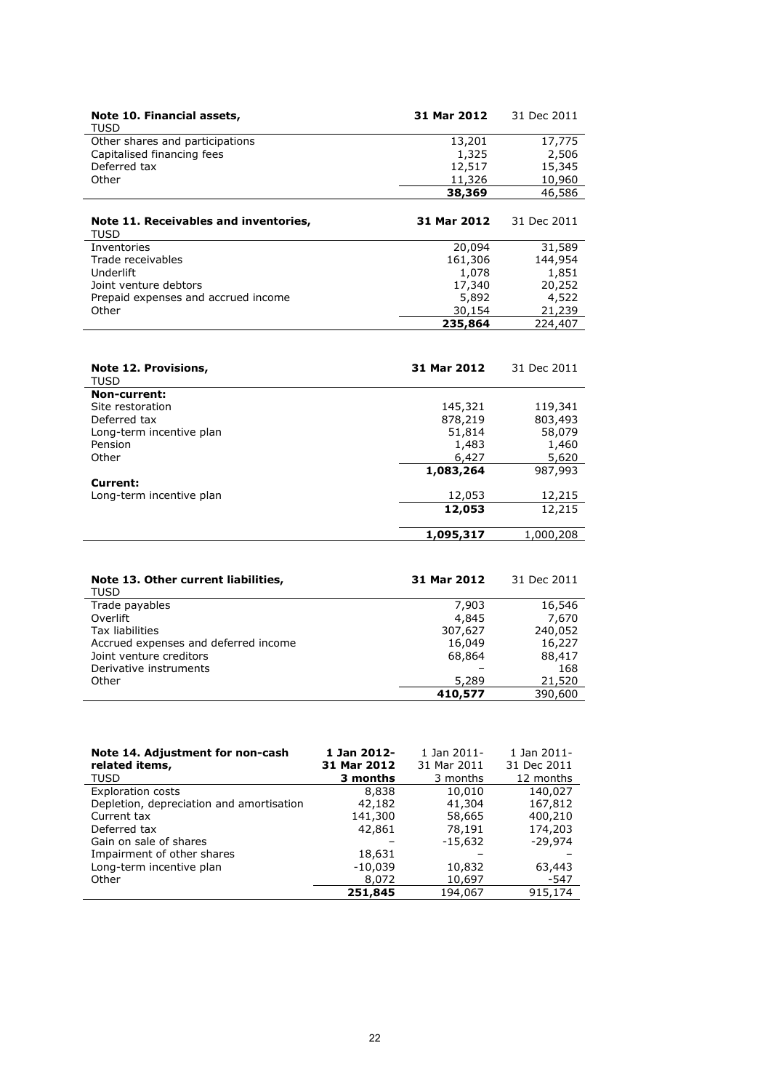| Note 10. Financial assets,<br><b>TUSD</b>            | 31 Mar 2012 | 31 Dec 2011 |
|------------------------------------------------------|-------------|-------------|
| Other shares and participations                      | 13,201      | 17,775      |
| Capitalised financing fees                           | 1,325       | 2,506       |
| Deferred tax                                         | 12,517      | 15,345      |
| Other                                                | 11,326      | 10,960      |
|                                                      | 38,369      | 46,586      |
| Note 11. Receivables and inventories,<br><b>TUSD</b> | 31 Mar 2012 | 31 Dec 2011 |
| Inventories                                          | 20,094      | 31,589      |
| Trade receivables                                    | 161,306     | 144,954     |
| Underlift                                            | 1,078       | 1,851       |
| Joint venture debtors                                | 17,340      | 20,252      |
| Prepaid expenses and accrued income                  | 5,892       | 4,522       |
| Other                                                | 30,154      | 21,239      |
|                                                      | 235,864     | 224,407     |
| Note 12. Provisions,                                 | 31 Mar 2012 | 31 Dec 2011 |
| <b>TUSD</b>                                          |             |             |
| Non-current:<br>Site restoration                     | 145,321     | 119,341     |
| Deferred tax                                         | 878,219     | 803,493     |
| Long-term incentive plan                             | 51,814      | 58,079      |
| Pension                                              | 1,483       | 1,460       |
| Other                                                | 6,427       | 5,620       |
|                                                      | 1,083,264   | 987,993     |
| Current:                                             |             |             |
| Long-term incentive plan                             | 12,053      | 12,215      |
|                                                      | 12,053      | 12,215      |
|                                                      | 1,095,317   | 1,000,208   |
|                                                      |             |             |
| Note 13. Other current liabilities,<br>TUSD          | 31 Mar 2012 | 31 Dec 2011 |
| Trade payables                                       | 7,903       | 16,546      |
| Overlift                                             | 4,845       | 7,670       |
| <b>Tax liabilities</b>                               | 307,627     | 240,052     |
| Accrued expenses and deferred income                 | 16,049      | 16,227      |
| Joint venture creditors                              | 68,864      | 88,417      |
| Derivative instruments                               |             | 168         |
| Other                                                | 5,289       | 21,520      |
|                                                      | 410,577     | 390,600     |

| Note 14. Adjustment for non-cash<br>related items, | 1 Jan 2012-<br>31 Mar 2012 | 1 Jan 2011-<br>31 Mar 2011 | 1 Jan 2011-<br>31 Dec 2011 |
|----------------------------------------------------|----------------------------|----------------------------|----------------------------|
| TUSD                                               | 3 months                   | 3 months                   | 12 months                  |
| <b>Exploration costs</b>                           | 8,838                      | 10,010                     | 140,027                    |
| Depletion, depreciation and amortisation           | 42,182                     | 41,304                     | 167,812                    |
| Current tax                                        | 141,300                    | 58,665                     | 400,210                    |
| Deferred tax                                       | 42,861                     | 78,191                     | 174,203                    |
| Gain on sale of shares                             |                            | $-15,632$                  | $-29.974$                  |
| Impairment of other shares                         | 18,631                     |                            |                            |
| Long-term incentive plan                           | $-10,039$                  | 10,832                     | 63,443                     |
| Other                                              | 8,072                      | 10,697                     | -547                       |
|                                                    | 251,845                    | 194,067                    | 915,174                    |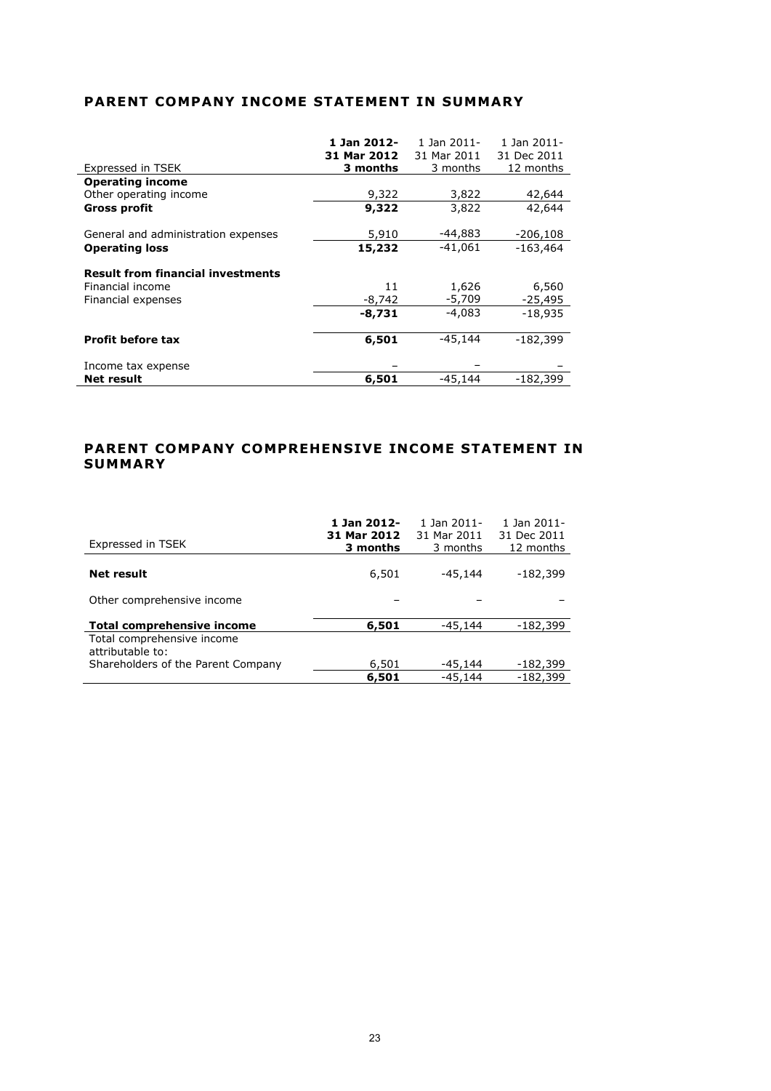# **PARENT COMPANY INCOME STATEMENT IN SUMMARY**

|                                          | 1 Jan 2012-<br>31 Mar 2012 | 1 Jan 2011-<br>31 Mar 2011 | 1 Jan 2011-<br>31 Dec 2011 |
|------------------------------------------|----------------------------|----------------------------|----------------------------|
| Expressed in TSEK                        | 3 months                   | 3 months                   | 12 months                  |
| <b>Operating income</b>                  |                            |                            |                            |
| Other operating income                   | 9,322                      | 3,822                      | 42,644                     |
| <b>Gross profit</b>                      | 9,322                      | 3,822                      | 42,644                     |
| General and administration expenses      | 5,910                      | -44,883                    | $-206,108$                 |
| <b>Operating loss</b>                    | 15,232                     | $-41,061$                  | $-163,464$                 |
| <b>Result from financial investments</b> |                            |                            |                            |
| Financial income                         | 11                         | 1,626                      | 6,560                      |
| Financial expenses                       | $-8,742$                   | $-5,709$                   | $-25,495$                  |
|                                          | $-8,731$                   | $-4,083$                   | $-18,935$                  |
| <b>Profit before tax</b>                 | 6,501                      | $-45,144$                  | $-182,399$                 |
| Income tax expense                       |                            |                            |                            |
| Net result                               | 6,501                      | $-45,144$                  | $-182,399$                 |

## **PARENT COMPANY COMPREHENSIVE INCOME STATEMENT IN SUMMARY**

| Expressed in TSEK                              | 1 Jan 2012-<br>31 Mar 2012<br>3 months | 1 Jan 2011-<br>31 Mar 2011<br>3 months | 1 Jan 2011-<br>31 Dec 2011<br>12 months |
|------------------------------------------------|----------------------------------------|----------------------------------------|-----------------------------------------|
| Net result                                     | 6,501                                  | -45,144                                | $-182,399$                              |
| Other comprehensive income                     |                                        |                                        |                                         |
| <b>Total comprehensive income</b>              | 6,501                                  | -45,144                                | $-182,399$                              |
| Total comprehensive income<br>attributable to: |                                        |                                        |                                         |
| Shareholders of the Parent Company             | 6,501                                  | -45,144                                | -182,399                                |
|                                                | 6,501                                  | $-45.144$                              | $-182,399$                              |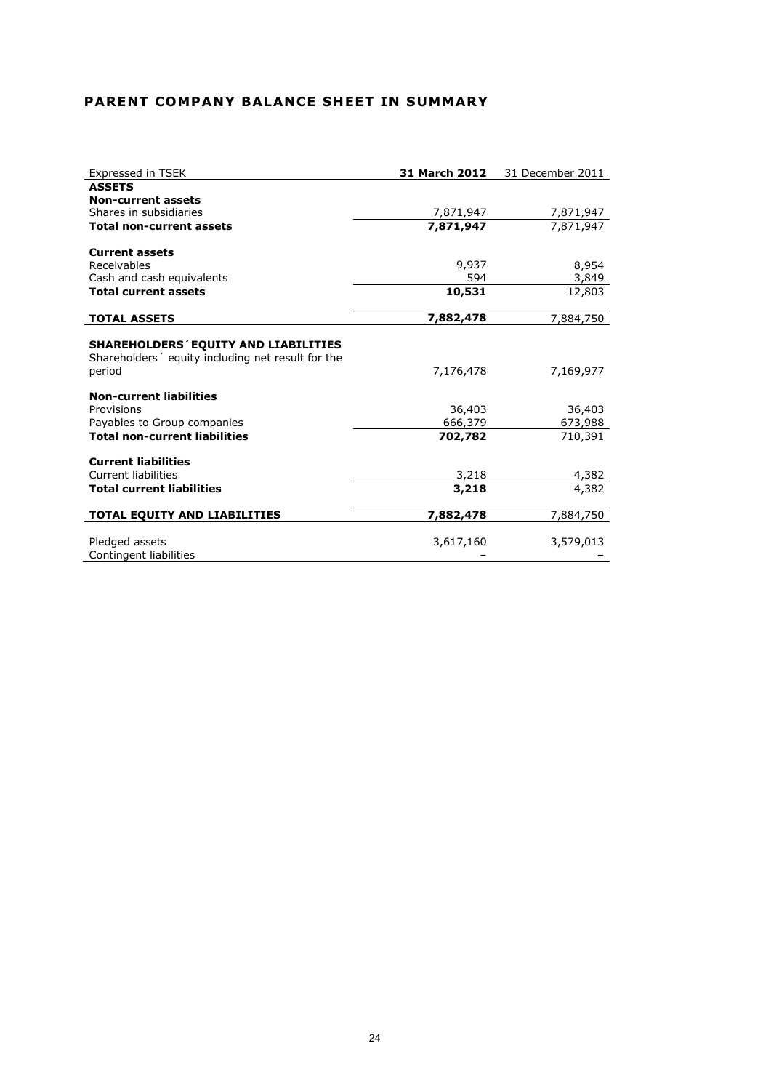# **PARENT COMPANY BALANCE SHEET IN SUMMARY**

| Expressed in TSEK                                 | <b>31 March 2012</b> | 31 December 2011 |
|---------------------------------------------------|----------------------|------------------|
| <b>ASSETS</b>                                     |                      |                  |
| <b>Non-current assets</b>                         |                      |                  |
| Shares in subsidiaries                            | 7,871,947            | 7,871,947        |
| <b>Total non-current assets</b>                   | 7,871,947            | 7,871,947        |
|                                                   |                      |                  |
| <b>Current assets</b>                             |                      |                  |
| Receivables                                       | 9,937                | 8,954            |
| Cash and cash equivalents                         | 594                  | 3,849            |
| <b>Total current assets</b>                       | 10,531               | 12,803           |
| <b>TOTAL ASSETS</b>                               | 7,882,478            | 7,884,750        |
|                                                   |                      |                  |
| SHAREHOLDERS 'EQUITY AND LIABILITIES              |                      |                  |
| Shareholders' equity including net result for the |                      |                  |
| period                                            | 7,176,478            | 7,169,977        |
| <b>Non-current liabilities</b>                    |                      |                  |
| Provisions                                        | 36,403               | 36,403           |
| Payables to Group companies                       | 666,379              | 673,988          |
| <b>Total non-current liabilities</b>              | 702,782              | 710,391          |
|                                                   |                      |                  |
| <b>Current liabilities</b>                        |                      |                  |
| Current liabilities                               | 3,218                | 4,382            |
| <b>Total current liabilities</b>                  | 3,218                | 4,382            |
|                                                   |                      |                  |
| <b>TOTAL EQUITY AND LIABILITIES</b>               | 7,882,478            | 7,884,750        |
|                                                   |                      |                  |
| Pledged assets                                    | 3,617,160            | 3,579,013        |
| Contingent liabilities                            |                      |                  |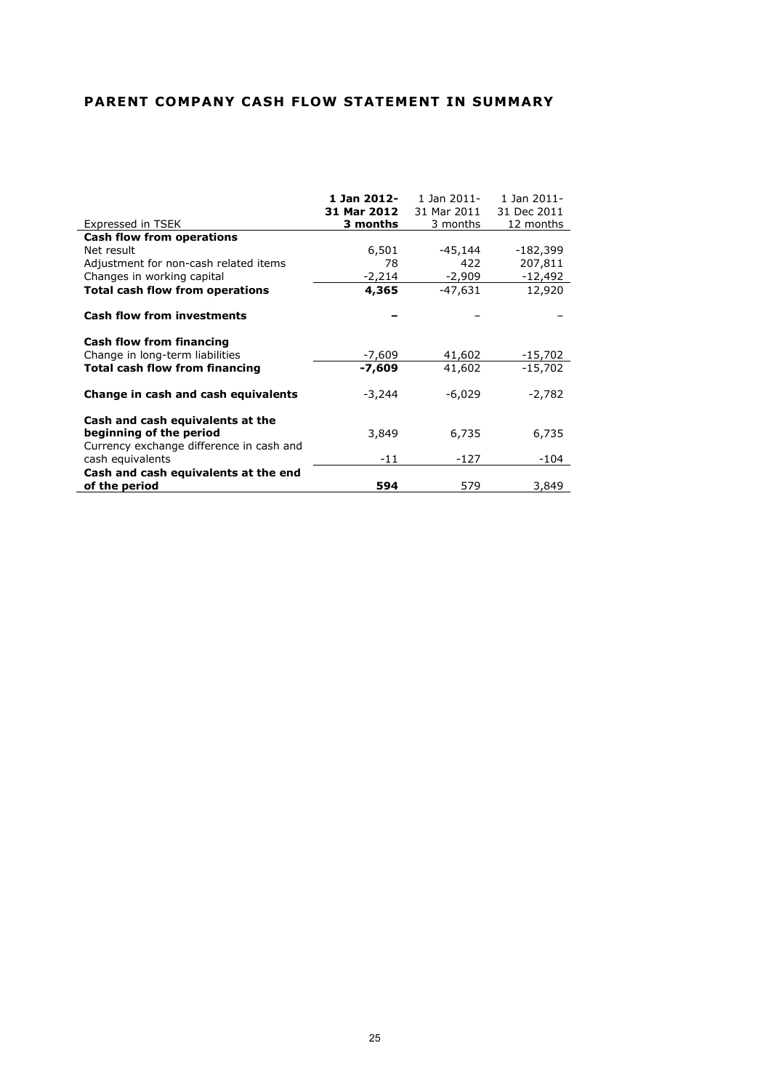# **PARENT COMPANY CASH FLOW STATEMENT IN SUMMARY**

|                                                              | 1 Jan 2012- | 1 Jan 2011- | 1 Jan 2011- |
|--------------------------------------------------------------|-------------|-------------|-------------|
|                                                              | 31 Mar 2012 | 31 Mar 2011 | 31 Dec 2011 |
| Expressed in TSEK                                            | 3 months    | 3 months    | 12 months   |
| <b>Cash flow from operations</b>                             |             |             |             |
| Net result                                                   | 6,501       | -45,144     | $-182,399$  |
| Adjustment for non-cash related items                        | 78          | 422         | 207,811     |
| Changes in working capital                                   | -2,214      | -2,909      | -12,492     |
| <b>Total cash flow from operations</b>                       | 4,365       | -47,631     | 12,920      |
| <b>Cash flow from investments</b>                            |             |             |             |
| Cash flow from financing                                     |             |             |             |
| Change in long-term liabilities                              | $-7,609$    | 41,602      | $-15,702$   |
| <b>Total cash flow from financing</b>                        | $-7,609$    | 41,602      | $-15,702$   |
| Change in cash and cash equivalents                          | -3,244      | $-6,029$    | $-2,782$    |
| Cash and cash equivalents at the                             |             |             |             |
| beginning of the period                                      | 3,849       | 6,735       | 6,735       |
| Currency exchange difference in cash and<br>cash equivalents | $-11$       | -127        | -104        |
| Cash and cash equivalents at the end                         |             |             |             |
| of the period                                                | 594         | 579         | 3,849       |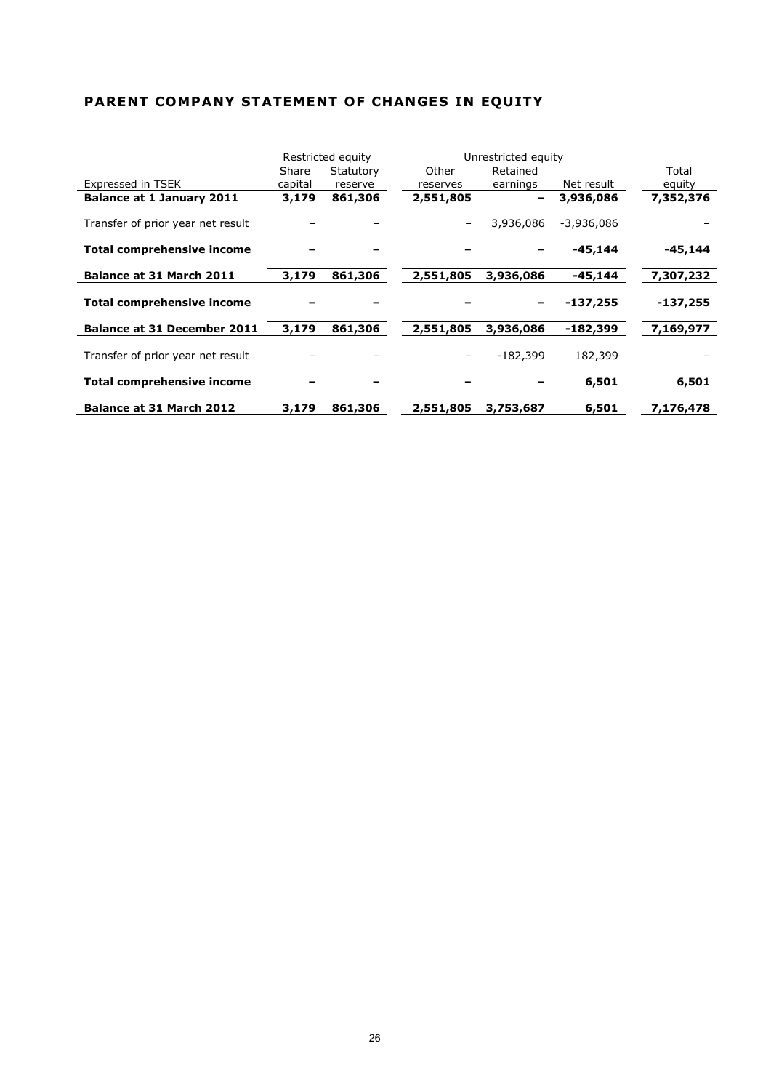# **PARENT COMPANY STATEMENT OF CHANGES IN EQUITY**

|                                    |         | Unrestricted equity<br>Restricted equity |           |            |            |           |
|------------------------------------|---------|------------------------------------------|-----------|------------|------------|-----------|
|                                    | Share   | Statutory                                | Other     | Retained   |            | Total     |
| Expressed in TSEK                  | capital | reserve                                  | reserves  | earnings   | Net result | equity    |
| <b>Balance at 1 January 2011</b>   | 3,179   | 861,306                                  | 2,551,805 |            | 3,936,086  | 7,352,376 |
| Transfer of prior year net result  |         |                                          |           | 3,936,086  | -3,936,086 |           |
| <b>Total comprehensive income</b>  |         |                                          |           |            | $-45,144$  | $-45,144$ |
|                                    |         |                                          |           |            |            |           |
| <b>Balance at 31 March 2011</b>    | 3,179   | 861,306                                  | 2,551,805 | 3,936,086  | $-45,144$  | 7,307,232 |
| <b>Total comprehensive income</b>  |         |                                          |           | -          | $-137,255$ | -137,255  |
| <b>Balance at 31 December 2011</b> | 3,179   | 861,306                                  | 2,551,805 | 3,936,086  | $-182,399$ | 7,169,977 |
| Transfer of prior year net result  |         |                                          |           | $-182,399$ | 182,399    |           |
| <b>Total comprehensive income</b>  |         |                                          |           |            | 6,501      | 6,501     |
| <b>Balance at 31 March 2012</b>    | 3,179   | 861,306                                  | 2,551,805 | 3,753,687  | 6,501      | 7.176.478 |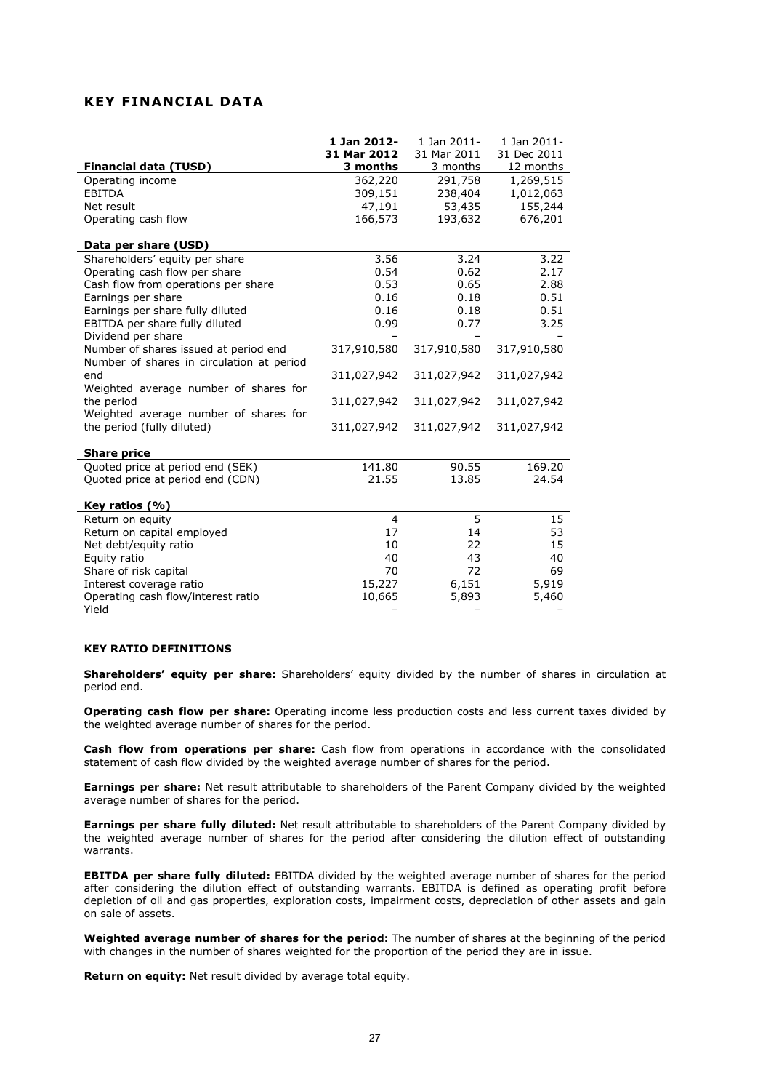### **KEY FINANCIAL DATA**

|                                                                                    | 1 Jan 2012- | 1 Jan 2011- | 1 Jan 2011- |
|------------------------------------------------------------------------------------|-------------|-------------|-------------|
|                                                                                    | 31 Mar 2012 | 31 Mar 2011 | 31 Dec 2011 |
| <b>Financial data (TUSD)</b>                                                       | 3 months    | 3 months    | 12 months   |
| Operating income                                                                   | 362,220     | 291,758     | 1,269,515   |
| <b>EBITDA</b>                                                                      | 309,151     | 238,404     | 1,012,063   |
| Net result                                                                         | 47,191      | 53,435      | 155,244     |
| Operating cash flow                                                                | 166,573     | 193,632     | 676,201     |
| Data per share (USD)                                                               |             |             |             |
| Shareholders' equity per share                                                     | 3.56        | 3.24        | 3.22        |
| Operating cash flow per share                                                      | 0.54        | 0.62        | 2.17        |
| Cash flow from operations per share                                                | 0.53        | 0.65        | 2.88        |
| Earnings per share                                                                 | 0.16        | 0.18        | 0.51        |
| Earnings per share fully diluted                                                   | 0.16        | 0.18        | 0.51        |
| EBITDA per share fully diluted                                                     | 0.99        | 0.77        | 3.25        |
| Dividend per share                                                                 |             |             |             |
| Number of shares issued at period end<br>Number of shares in circulation at period | 317,910,580 | 317,910,580 | 317,910,580 |
| end                                                                                | 311,027,942 | 311,027,942 | 311,027,942 |
| Weighted average number of shares for                                              |             |             |             |
| the period                                                                         | 311,027,942 | 311,027,942 | 311,027,942 |
| Weighted average number of shares for                                              |             |             |             |
| the period (fully diluted)                                                         | 311,027,942 | 311,027,942 | 311,027,942 |
|                                                                                    |             |             |             |
| <b>Share price</b>                                                                 |             |             |             |
| Quoted price at period end (SEK)                                                   | 141.80      | 90.55       | 169.20      |
| Quoted price at period end (CDN)                                                   | 21.55       | 13.85       | 24.54       |
| Key ratios (%)                                                                     |             |             |             |
| Return on equity                                                                   | 4           | 5           | 15          |
| Return on capital employed                                                         | 17          | 14          | 53          |
| Net debt/equity ratio                                                              | 10          | 22          | 15          |
| Equity ratio                                                                       | 40          | 43          | 40          |
| Share of risk capital                                                              | 70          | 72          | 69          |
| Interest coverage ratio                                                            | 15,227      | 6,151       | 5,919       |
| Operating cash flow/interest ratio                                                 | 10,665      | 5,893       | 5,460       |
| Yield                                                                              |             |             |             |

#### **KEY RATIO DEFINITIONS**

**Shareholders' equity per share:** Shareholders' equity divided by the number of shares in circulation at period end.

**Operating cash flow per share:** Operating income less production costs and less current taxes divided by the weighted average number of shares for the period.

**Cash flow from operations per share:** Cash flow from operations in accordance with the consolidated statement of cash flow divided by the weighted average number of shares for the period.

**Earnings per share:** Net result attributable to shareholders of the Parent Company divided by the weighted average number of shares for the period.

**Earnings per share fully diluted:** Net result attributable to shareholders of the Parent Company divided by the weighted average number of shares for the period after considering the dilution effect of outstanding warrants.

**EBITDA per share fully diluted:** EBITDA divided by the weighted average number of shares for the period after considering the dilution effect of outstanding warrants. EBITDA is defined as operating profit before depletion of oil and gas properties, exploration costs, impairment costs, depreciation of other assets and gain on sale of assets.

**Weighted average number of shares for the period:** The number of shares at the beginning of the period with changes in the number of shares weighted for the proportion of the period they are in issue.

**Return on equity:** Net result divided by average total equity.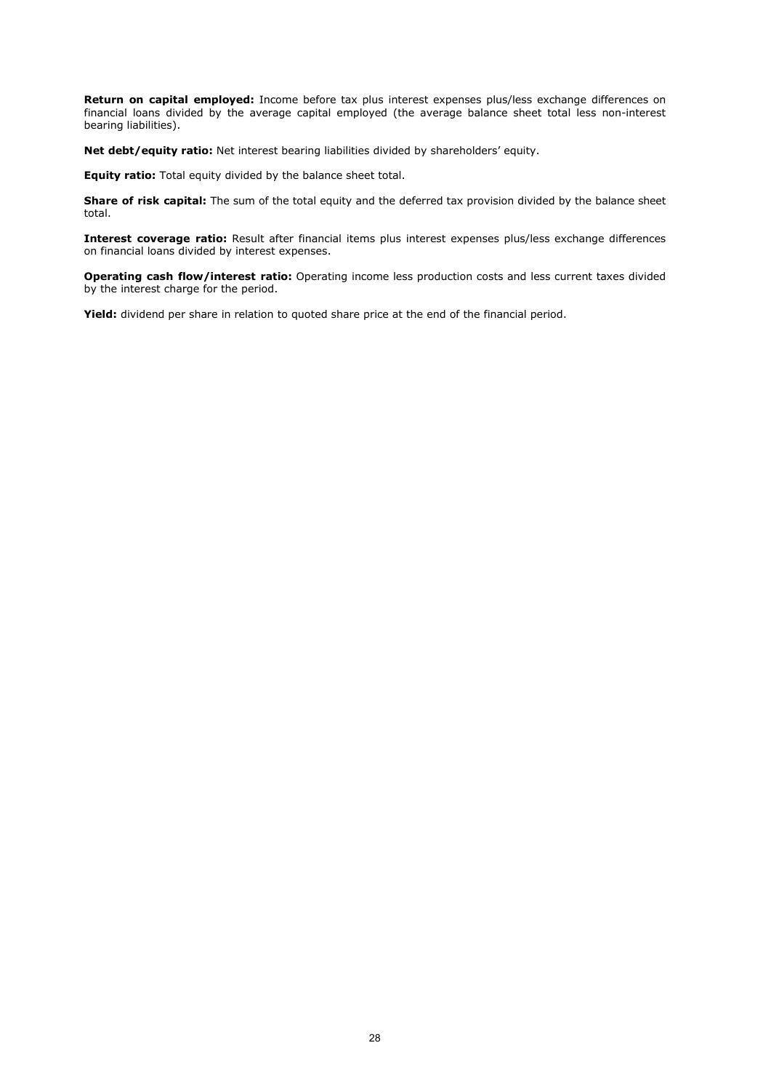**Return on capital employed:** Income before tax plus interest expenses plus/less exchange differences on financial loans divided by the average capital employed (the average balance sheet total less non-interest bearing liabilities).

**Net debt/equity ratio:** Net interest bearing liabilities divided by shareholders' equity.

**Equity ratio:** Total equity divided by the balance sheet total.

**Share of risk capital:** The sum of the total equity and the deferred tax provision divided by the balance sheet total.

**Interest coverage ratio:** Result after financial items plus interest expenses plus/less exchange differences on financial loans divided by interest expenses.

**Operating cash flow/interest ratio:** Operating income less production costs and less current taxes divided by the interest charge for the period.

**Yield:** dividend per share in relation to quoted share price at the end of the financial period.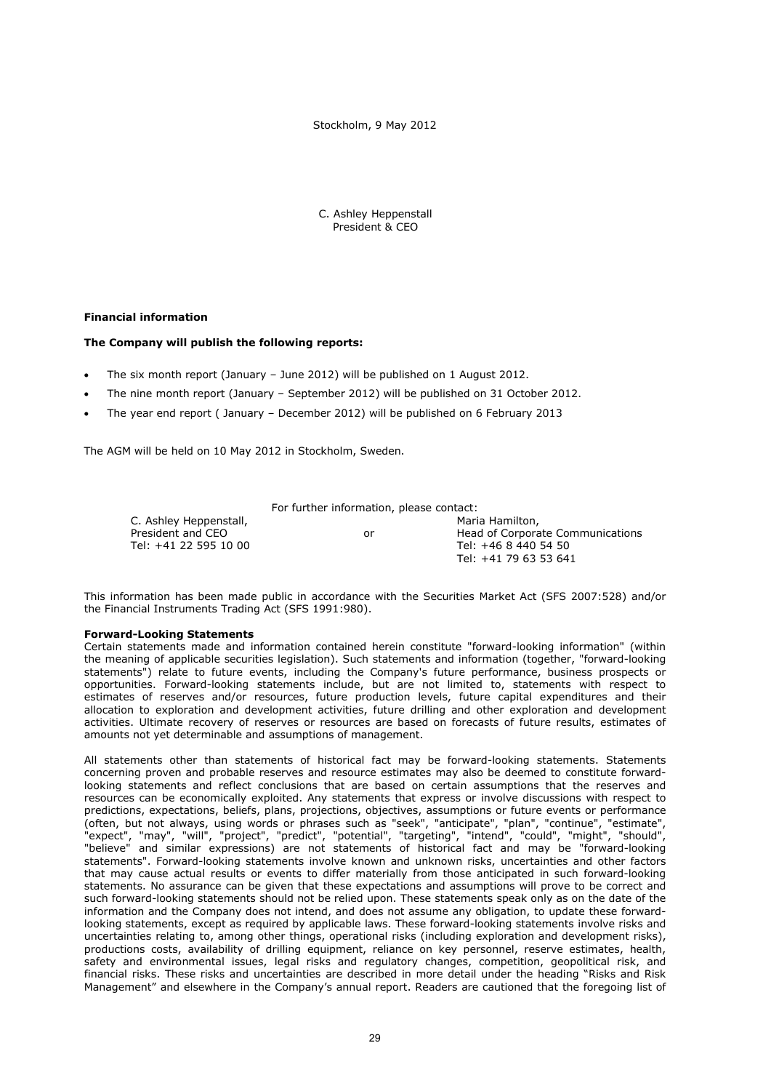Stockholm, 9 May 2012

C. Ashley Heppenstall President & CEO

#### **Financial information**

#### **The Company will publish the following reports:**

- The six month report (January June 2012) will be published on 1 August 2012.
- The nine month report (January September 2012) will be published on 31 October 2012.
- The year end report ( January December 2012) will be published on 6 February 2013

The AGM will be held on 10 May 2012 in Stockholm, Sweden.

|                        | For further information, please contact: |                                  |
|------------------------|------------------------------------------|----------------------------------|
| C. Ashley Heppenstall, |                                          | Maria Hamilton,                  |
| President and CEO      | or                                       | Head of Corporate Communications |
| Tel: +41 22 595 10 00  |                                          | Tel: +46 8 440 54 50             |
|                        |                                          | Tel: +41 79 63 53 641            |

This information has been made public in accordance with the Securities Market Act (SFS 2007:528) and/or the Financial Instruments Trading Act (SFS 1991:980).

#### **Forward-Looking Statements**

Certain statements made and information contained herein constitute "forward-looking information" (within the meaning of applicable securities legislation). Such statements and information (together, "forward-looking statements") relate to future events, including the Company's future performance, business prospects or opportunities. Forward-looking statements include, but are not limited to, statements with respect to estimates of reserves and/or resources, future production levels, future capital expenditures and their allocation to exploration and development activities, future drilling and other exploration and development activities. Ultimate recovery of reserves or resources are based on forecasts of future results, estimates of amounts not yet determinable and assumptions of management.

All statements other than statements of historical fact may be forward-looking statements. Statements concerning proven and probable reserves and resource estimates may also be deemed to constitute forwardlooking statements and reflect conclusions that are based on certain assumptions that the reserves and resources can be economically exploited. Any statements that express or involve discussions with respect to predictions, expectations, beliefs, plans, projections, objectives, assumptions or future events or performance (often, but not always, using words or phrases such as "seek", "anticipate", "plan", "continue", "estimate", "expect", "may", "will", "project", "predict", "potential", "targeting", "intend", "could", "might", "should", "believe" and similar expressions) are not statements of historical fact and may be "forward-looking statements". Forward-looking statements involve known and unknown risks, uncertainties and other factors that may cause actual results or events to differ materially from those anticipated in such forward-looking statements. No assurance can be given that these expectations and assumptions will prove to be correct and such forward-looking statements should not be relied upon. These statements speak only as on the date of the information and the Company does not intend, and does not assume any obligation, to update these forwardlooking statements, except as required by applicable laws. These forward-looking statements involve risks and uncertainties relating to, among other things, operational risks (including exploration and development risks), productions costs, availability of drilling equipment, reliance on key personnel, reserve estimates, health, safety and environmental issues, legal risks and regulatory changes, competition, geopolitical risk, and financial risks. These risks and uncertainties are described in more detail under the heading "Risks and Risk Management" and elsewhere in the Company's annual report. Readers are cautioned that the foregoing list of